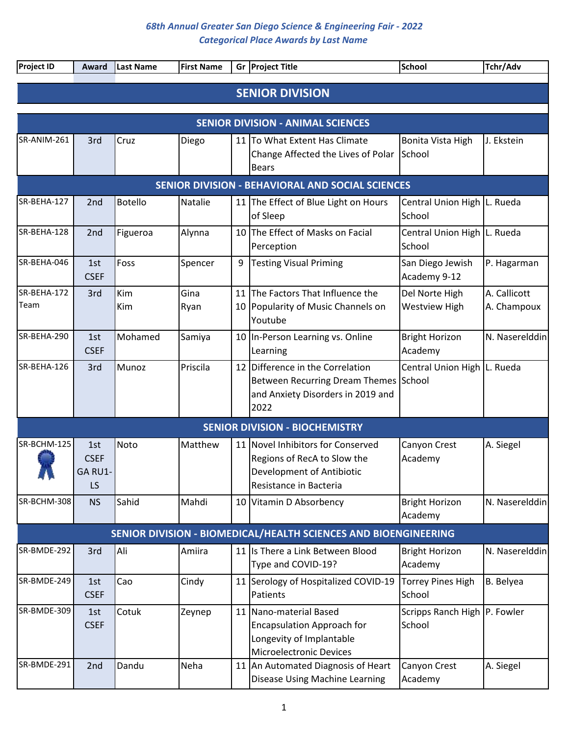| Project ID                                       | Award                               | Last Name      | <b>First Name</b> | Gr | <b>Project Title</b>                                                                                                      | <b>School</b>                           | Tchr/Adv                    |  |  |  |  |  |  |
|--------------------------------------------------|-------------------------------------|----------------|-------------------|----|---------------------------------------------------------------------------------------------------------------------------|-----------------------------------------|-----------------------------|--|--|--|--|--|--|
|                                                  |                                     |                |                   |    | <b>SENIOR DIVISION</b>                                                                                                    |                                         |                             |  |  |  |  |  |  |
|                                                  |                                     |                |                   |    |                                                                                                                           |                                         |                             |  |  |  |  |  |  |
|                                                  |                                     |                |                   |    | <b>SENIOR DIVISION - ANIMAL SCIENCES</b>                                                                                  |                                         |                             |  |  |  |  |  |  |
| SR-ANIM-261                                      | 3rd                                 | Cruz           | Diego             |    | 11 To What Extent Has Climate<br>Change Affected the Lives of Polar<br><b>Bears</b>                                       | Bonita Vista High<br>School             | J. Ekstein                  |  |  |  |  |  |  |
| SENIOR DIVISION - BEHAVIORAL AND SOCIAL SCIENCES |                                     |                |                   |    |                                                                                                                           |                                         |                             |  |  |  |  |  |  |
| SR-BEHA-127                                      | 2 <sub>nd</sub>                     | <b>Botello</b> | Natalie           |    | 11 The Effect of Blue Light on Hours<br>of Sleep                                                                          | Central Union High L. Rueda<br>School   |                             |  |  |  |  |  |  |
| SR-BEHA-128                                      | 2nd                                 | Figueroa       | Alynna            |    | 10 The Effect of Masks on Facial<br>Perception                                                                            | Central Union High   L. Rueda<br>School |                             |  |  |  |  |  |  |
| SR-BEHA-046                                      | 1st<br><b>CSEF</b>                  | Foss           | Spencer           | 9  | <b>Testing Visual Priming</b>                                                                                             | San Diego Jewish<br>Academy 9-12        | P. Hagarman                 |  |  |  |  |  |  |
| SR-BEHA-172<br>Team                              | 3rd                                 | Kim<br>Kim     | Gina<br>Ryan      | 11 | The Factors That Influence the<br>10 Popularity of Music Channels on<br>Youtube                                           | Del Norte High<br><b>Westview High</b>  | A. Callicott<br>A. Champoux |  |  |  |  |  |  |
| SR-BEHA-290                                      | 1st<br><b>CSEF</b>                  | Mohamed        | Samiya            |    | 10 In-Person Learning vs. Online<br>Learning                                                                              | <b>Bright Horizon</b><br>Academy        | N. Naserelddin              |  |  |  |  |  |  |
| SR-BEHA-126                                      | 3rd                                 | Munoz          | Priscila          |    | 12 Difference in the Correlation<br>Between Recurring Dream Themes School<br>and Anxiety Disorders in 2019 and<br>2022    | Central Union High L. Rueda             |                             |  |  |  |  |  |  |
|                                                  |                                     |                |                   |    | <b>SENIOR DIVISION - BIOCHEMISTRY</b>                                                                                     |                                         |                             |  |  |  |  |  |  |
| SR-BCHM-125<br>A, W                              | 1st<br><b>CSEF</b><br>GA RU1-<br>LS | Noto           | Matthew           |    | 11 Novel Inhibitors for Conserved<br>Regions of RecA to Slow the<br>Development of Antibiotic<br>Resistance in Bacteria   | Canyon Crest<br>Academy                 | A. Siegel                   |  |  |  |  |  |  |
| SR-BCHM-308                                      | <b>NS</b>                           | Sahid          | Mahdi             |    | 10 Vitamin D Absorbency                                                                                                   | <b>Bright Horizon</b><br>Academy        | N. Naserelddin              |  |  |  |  |  |  |
|                                                  |                                     |                |                   |    | SENIOR DIVISION - BIOMEDICAL/HEALTH SCIENCES AND BIOENGINEERING                                                           |                                         |                             |  |  |  |  |  |  |
| SR-BMDE-292                                      | 3rd                                 | Ali            | Amiira            |    | 11 Is There a Link Between Blood<br>Type and COVID-19?                                                                    | <b>Bright Horizon</b><br>Academy        | N. Naserelddin              |  |  |  |  |  |  |
| SR-BMDE-249                                      | 1st<br><b>CSEF</b>                  | Cao            | Cindy             |    | 11 Serology of Hospitalized COVID-19<br>Patients                                                                          | <b>Torrey Pines High</b><br>School      | B. Belyea                   |  |  |  |  |  |  |
| SR-BMDE-309                                      | 1st<br><b>CSEF</b>                  | Cotuk          | Zeynep            |    | 11 Nano-material Based<br><b>Encapsulation Approach for</b><br>Longevity of Implantable<br><b>Microelectronic Devices</b> | Scripps Ranch High P. Fowler<br>School  |                             |  |  |  |  |  |  |
| SR-BMDE-291                                      | 2nd                                 | Dandu          | Neha              |    | 11 An Automated Diagnosis of Heart<br>Disease Using Machine Learning                                                      | Canyon Crest<br>Academy                 | A. Siegel                   |  |  |  |  |  |  |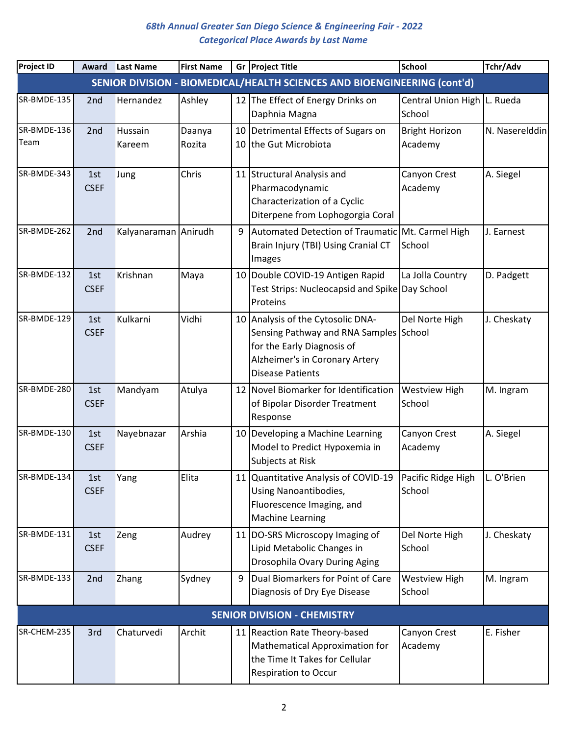| <b>Project ID</b> | Award              | Last Name            | <b>First Name</b> |   | Gr Project Title                                                                                                                                                       | <b>School</b>                         | Tchr/Adv       |
|-------------------|--------------------|----------------------|-------------------|---|------------------------------------------------------------------------------------------------------------------------------------------------------------------------|---------------------------------------|----------------|
|                   |                    |                      |                   |   | SENIOR DIVISION - BIOMEDICAL/HEALTH SCIENCES AND BIOENGINEERING (cont'd)                                                                                               |                                       |                |
| SR-BMDE-135       | 2 <sub>nd</sub>    | Hernandez            | Ashley            |   | 12 The Effect of Energy Drinks on<br>Daphnia Magna                                                                                                                     | Central Union High L. Rueda<br>School |                |
| SR-BMDE-136       | 2nd                | Hussain              | Daanya            |   | 10 Detrimental Effects of Sugars on                                                                                                                                    | <b>Bright Horizon</b>                 | N. Naserelddin |
| Team              |                    | Kareem               | Rozita            |   | 10 the Gut Microbiota                                                                                                                                                  | Academy                               |                |
| SR-BMDE-343       | 1st<br><b>CSEF</b> | Jung                 | Chris             |   | 11 Structural Analysis and<br>Pharmacodynamic<br>Characterization of a Cyclic<br>Diterpene from Lophogorgia Coral                                                      | Canyon Crest<br>Academy               | A. Siegel      |
| SR-BMDE-262       | 2nd                | Kalyanaraman Anirudh |                   | 9 | Automated Detection of Traumatic Mt. Carmel High<br>Brain Injury (TBI) Using Cranial CT<br>Images                                                                      | School                                | J. Earnest     |
| SR-BMDE-132       | 1st<br><b>CSEF</b> | Krishnan             | Maya              |   | 10 Double COVID-19 Antigen Rapid<br>Test Strips: Nucleocapsid and Spike Day School<br>Proteins                                                                         | La Jolla Country                      | D. Padgett     |
| SR-BMDE-129       | 1st<br><b>CSEF</b> | Kulkarni             | Vidhi             |   | 10 Analysis of the Cytosolic DNA-<br>Sensing Pathway and RNA Samples School<br>for the Early Diagnosis of<br>Alzheimer's in Coronary Artery<br><b>Disease Patients</b> | Del Norte High                        | J. Cheskaty    |
| SR-BMDE-280       | 1st<br><b>CSEF</b> | Mandyam              | Atulya            |   | 12 Novel Biomarker for Identification<br>of Bipolar Disorder Treatment<br>Response                                                                                     | <b>Westview High</b><br>School        | M. Ingram      |
| SR-BMDE-130       | 1st<br><b>CSEF</b> | Nayebnazar           | Arshia            |   | 10 Developing a Machine Learning<br>Model to Predict Hypoxemia in<br>Subjects at Risk                                                                                  | Canyon Crest<br>Academy               | A. Siegel      |
| SR-BMDE-134       | 1st<br><b>CSEF</b> | Yang                 | Elita             |   | 11 Quantitative Analysis of COVID-19<br>Using Nanoantibodies,<br>Fluorescence Imaging, and<br><b>Machine Learning</b>                                                  | Pacific Ridge High<br>School          | L. O'Brien     |
| SR-BMDE-131       | 1st<br><b>CSEF</b> | Zeng                 | Audrey            |   | 11 DO-SRS Microscopy Imaging of<br>Lipid Metabolic Changes in<br>Drosophila Ovary During Aging                                                                         | Del Norte High<br>School              | J. Cheskaty    |
| SR-BMDE-133       | 2nd                | Zhang                | Sydney            | 9 | Dual Biomarkers for Point of Care<br>Diagnosis of Dry Eye Disease                                                                                                      | <b>Westview High</b><br>School        | M. Ingram      |
|                   |                    |                      |                   |   | <b>SENIOR DIVISION - CHEMISTRY</b>                                                                                                                                     |                                       |                |
| SR-CHEM-235       | 3rd                | Chaturvedi           | Archit            |   | 11 Reaction Rate Theory-based<br>Mathematical Approximation for<br>the Time It Takes for Cellular<br><b>Respiration to Occur</b>                                       | Canyon Crest<br>Academy               | E. Fisher      |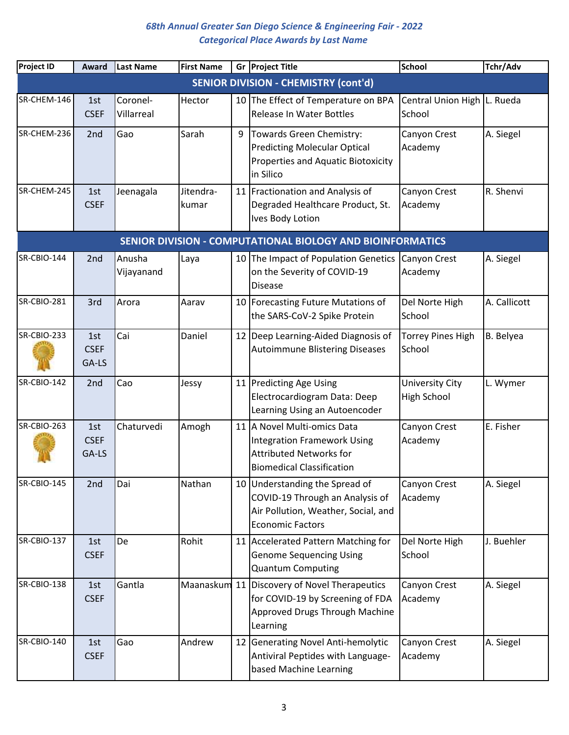| <b>Project ID</b>  | Award                                                      | Last Name              | <b>First Name</b>  |   | Gr Project Title                                                                                                                        | <b>School</b>                                | Tchr/Adv     |  |  |  |  |  |
|--------------------|------------------------------------------------------------|------------------------|--------------------|---|-----------------------------------------------------------------------------------------------------------------------------------------|----------------------------------------------|--------------|--|--|--|--|--|
|                    |                                                            |                        |                    |   | <b>SENIOR DIVISION - CHEMISTRY (cont'd)</b>                                                                                             |                                              |              |  |  |  |  |  |
| SR-CHEM-146        | 1st<br><b>CSEF</b>                                         | Coronel-<br>Villarreal | Hector             |   | 10 The Effect of Temperature on BPA<br><b>Release In Water Bottles</b>                                                                  | Central Union High   L. Rueda<br>School      |              |  |  |  |  |  |
| SR-CHEM-236        | 2nd                                                        | Gao                    | Sarah              | 9 | Towards Green Chemistry:<br><b>Predicting Molecular Optical</b><br>Properties and Aquatic Biotoxicity<br>in Silico                      | Canyon Crest<br>Academy                      | A. Siegel    |  |  |  |  |  |
| SR-CHEM-245        | 1st<br><b>CSEF</b>                                         | Jeenagala              | Jitendra-<br>kumar |   | 11 Fractionation and Analysis of<br>Degraded Healthcare Product, St.<br>Ives Body Lotion                                                | Canyon Crest<br>Academy                      | R. Shenvi    |  |  |  |  |  |
|                    | SENIOR DIVISION - COMPUTATIONAL BIOLOGY AND BIOINFORMATICS |                        |                    |   |                                                                                                                                         |                                              |              |  |  |  |  |  |
| SR-CBIO-144        | 2 <sub>nd</sub>                                            | Anusha<br>Vijayanand   | Laya               |   | 10 The Impact of Population Genetics<br>on the Severity of COVID-19<br><b>Disease</b>                                                   | <b>Canyon Crest</b><br>Academy               | A. Siegel    |  |  |  |  |  |
| <b>SR-CBIO-281</b> | 3rd                                                        | Arora                  | Aarav              |   | 10 Forecasting Future Mutations of<br>the SARS-CoV-2 Spike Protein                                                                      | Del Norte High<br>School                     | A. Callicott |  |  |  |  |  |
| <b>SR-CBIO-233</b> | 1st<br><b>CSEF</b><br>GA-LS                                | Cai                    | Daniel             |   | 12 Deep Learning-Aided Diagnosis of<br><b>Autoimmune Blistering Diseases</b>                                                            | <b>Torrey Pines High</b><br>School           | B. Belyea    |  |  |  |  |  |
| SR-CBIO-142        | 2nd                                                        | Cao                    | Jessy              |   | 11 Predicting Age Using<br>Electrocardiogram Data: Deep<br>Learning Using an Autoencoder                                                | <b>University City</b><br><b>High School</b> | L. Wymer     |  |  |  |  |  |
| SR-CBIO-263        | 1st<br><b>CSEF</b><br>GA-LS                                | Chaturvedi             | Amogh              |   | 11 A Novel Multi-omics Data<br><b>Integration Framework Using</b><br><b>Attributed Networks for</b><br><b>Biomedical Classification</b> | Canyon Crest<br>Academy                      | E. Fisher    |  |  |  |  |  |
| SR-CBIO-145        | 2nd                                                        | Dai                    | Nathan             |   | 10 Understanding the Spread of<br>COVID-19 Through an Analysis of<br>Air Pollution, Weather, Social, and<br><b>Economic Factors</b>     | Canyon Crest<br>Academy                      | A. Siegel    |  |  |  |  |  |
| <b>SR-CBIO-137</b> | 1st<br><b>CSEF</b>                                         | De                     | Rohit              |   | 11 Accelerated Pattern Matching for<br><b>Genome Sequencing Using</b><br><b>Quantum Computing</b>                                       | Del Norte High<br>School                     | J. Buehler   |  |  |  |  |  |
| SR-CBIO-138        | 1st<br><b>CSEF</b>                                         | Gantla                 |                    |   | Maanaskum 11 Discovery of Novel Therapeutics<br>for COVID-19 by Screening of FDA<br>Approved Drugs Through Machine<br>Learning          | Canyon Crest<br>Academy                      | A. Siegel    |  |  |  |  |  |
| SR-CBIO-140        | 1st<br><b>CSEF</b>                                         | Gao                    | Andrew             |   | 12 Generating Novel Anti-hemolytic<br>Antiviral Peptides with Language-<br>based Machine Learning                                       | Canyon Crest<br>Academy                      | A. Siegel    |  |  |  |  |  |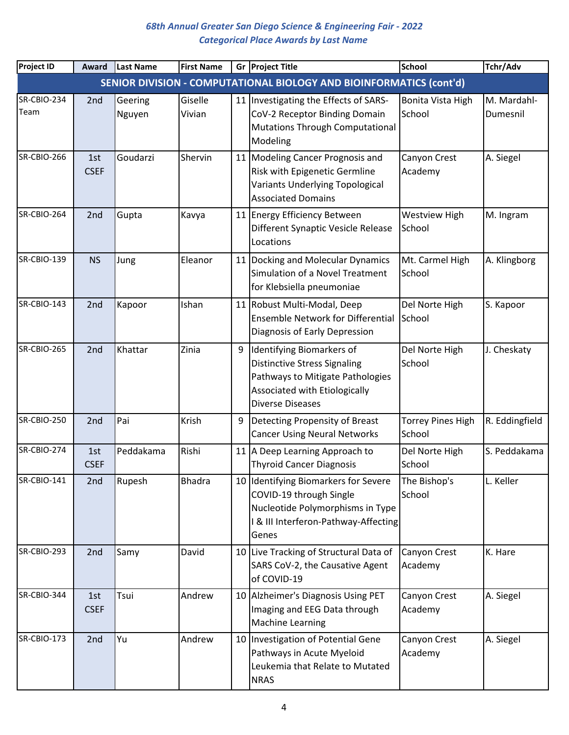| <b>Project ID</b>   | Award              | <b>Last Name</b>  | <b>First Name</b> |    | Gr Project Title                                                                                                                                                 | <b>School</b>                      | Tchr/Adv                |
|---------------------|--------------------|-------------------|-------------------|----|------------------------------------------------------------------------------------------------------------------------------------------------------------------|------------------------------------|-------------------------|
|                     |                    |                   |                   |    | SENIOR DIVISION - COMPUTATIONAL BIOLOGY AND BIOINFORMATICS (cont'd)                                                                                              |                                    |                         |
| SR-CBIO-234<br>Team | 2 <sub>nd</sub>    | Geering<br>Nguyen | Giselle<br>Vivian |    | 11   Investigating the Effects of SARS-<br>CoV-2 Receptor Binding Domain<br><b>Mutations Through Computational</b><br>Modeling                                   | Bonita Vista High<br>School        | M. Mardahl-<br>Dumesnil |
| SR-CBIO-266         | 1st<br><b>CSEF</b> | Goudarzi          | Shervin           |    | 11 Modeling Cancer Prognosis and<br>Risk with Epigenetic Germline<br>Variants Underlying Topological<br><b>Associated Domains</b>                                | Canyon Crest<br>Academy            | A. Siegel               |
| SR-CBIO-264         | 2nd                | Gupta             | Kavya             |    | 11 Energy Efficiency Between<br>Different Synaptic Vesicle Release<br>Locations                                                                                  | <b>Westview High</b><br>School     | M. Ingram               |
| <b>SR-CBIO-139</b>  | <b>NS</b>          | Jung              | Eleanor           |    | 11 Docking and Molecular Dynamics<br>Simulation of a Novel Treatment<br>for Klebsiella pneumoniae                                                                | Mt. Carmel High<br>School          | A. Klingborg            |
| SR-CBIO-143         | 2nd                | Kapoor            | Ishan             |    | 11 Robust Multi-Modal, Deep<br><b>Ensemble Network for Differential</b><br>Diagnosis of Early Depression                                                         | Del Norte High<br>School           | S. Kapoor               |
| SR-CBIO-265         | 2nd                | Khattar           | Zinia             | 9  | Identifying Biomarkers of<br><b>Distinctive Stress Signaling</b><br>Pathways to Mitigate Pathologies<br>Associated with Etiologically<br><b>Diverse Diseases</b> | Del Norte High<br>School           | J. Cheskaty             |
| SR-CBIO-250         | 2nd                | Pai               | Krish             | 9  | Detecting Propensity of Breast<br><b>Cancer Using Neural Networks</b>                                                                                            | <b>Torrey Pines High</b><br>School | R. Eddingfield          |
| SR-CBIO-274         | 1st<br><b>CSEF</b> | Peddakama         | Rishi             | 11 | A Deep Learning Approach to<br><b>Thyroid Cancer Diagnosis</b>                                                                                                   | Del Norte High<br>School           | S. Peddakama            |
| <b>SR-CBIO-141</b>  | 2nd                | Rupesh            | <b>Bhadra</b>     |    | 10 Identifying Biomarkers for Severe<br>COVID-19 through Single<br>Nucleotide Polymorphisms in Type<br>I & III Interferon-Pathway-Affecting<br>Genes             | The Bishop's<br>School             | L. Keller               |
| SR-CBIO-293         | 2nd                | Samy              | David             |    | 10 Live Tracking of Structural Data of<br>SARS CoV-2, the Causative Agent<br>of COVID-19                                                                         | Canyon Crest<br>Academy            | K. Hare                 |
| SR-CBIO-344         | 1st<br><b>CSEF</b> | Tsui              | Andrew            |    | 10 Alzheimer's Diagnosis Using PET<br>Imaging and EEG Data through<br><b>Machine Learning</b>                                                                    | Canyon Crest<br>Academy            | A. Siegel               |
| <b>SR-CBIO-173</b>  | 2nd                | Yu                | Andrew            |    | 10   Investigation of Potential Gene<br>Pathways in Acute Myeloid<br>Leukemia that Relate to Mutated<br><b>NRAS</b>                                              | Canyon Crest<br>Academy            | A. Siegel               |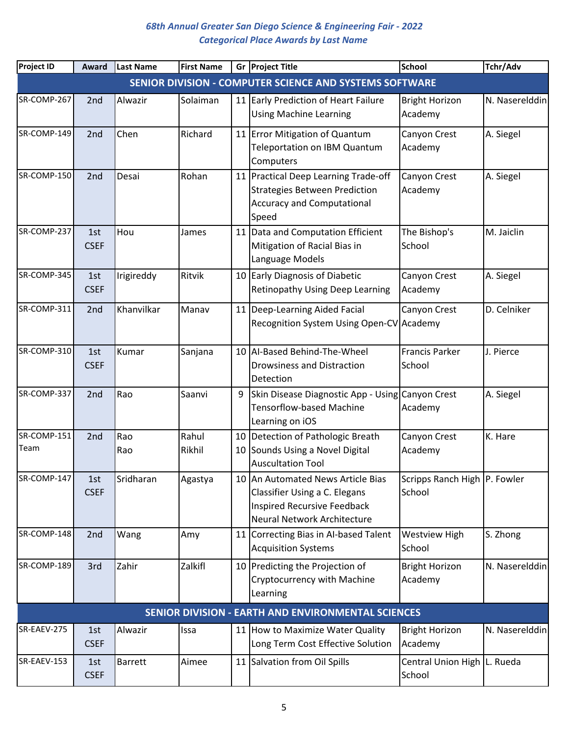| <b>Project ID</b>   | Award              | <b>Last Name</b> | <b>First Name</b> |    | Gr Project Title                                                                                                                        | <b>School</b>                          | Tchr/Adv       |
|---------------------|--------------------|------------------|-------------------|----|-----------------------------------------------------------------------------------------------------------------------------------------|----------------------------------------|----------------|
|                     |                    |                  |                   |    | SENIOR DIVISION - COMPUTER SCIENCE AND SYSTEMS SOFTWARE                                                                                 |                                        |                |
| SR-COMP-267         | 2 <sub>nd</sub>    | Alwazir          | Solaiman          |    | 11 Early Prediction of Heart Failure<br><b>Using Machine Learning</b>                                                                   | <b>Bright Horizon</b><br>Academy       | N. Naserelddin |
| SR-COMP-149         | 2nd                | Chen             | Richard           |    | 11 Error Mitigation of Quantum<br>Teleportation on IBM Quantum<br>Computers                                                             | Canyon Crest<br>Academy                | A. Siegel      |
| SR-COMP-150         | 2nd                | Desai            | Rohan             |    | 11 Practical Deep Learning Trade-off<br><b>Strategies Between Prediction</b><br><b>Accuracy and Computational</b><br>Speed              | Canyon Crest<br>Academy                | A. Siegel      |
| SR-COMP-237         | 1st<br><b>CSEF</b> | Hou              | James             |    | 11 Data and Computation Efficient<br>Mitigation of Racial Bias in<br>Language Models                                                    | The Bishop's<br>School                 | M. Jaiclin     |
| SR-COMP-345         | 1st<br><b>CSEF</b> | Irigireddy       | Ritvik            |    | 10 Early Diagnosis of Diabetic<br><b>Retinopathy Using Deep Learning</b>                                                                | Canyon Crest<br>Academy                | A. Siegel      |
| SR-COMP-311         | 2nd                | Khanvilkar       | Manav             |    | 11   Deep-Learning Aided Facial<br>Recognition System Using Open-CV Academy                                                             | Canyon Crest                           | D. Celniker    |
| SR-COMP-310         | 1st<br><b>CSEF</b> | Kumar            | Sanjana           |    | 10 AI-Based Behind-The-Wheel<br><b>Drowsiness and Distraction</b><br>Detection                                                          | <b>Francis Parker</b><br>School        | J. Pierce      |
| SR-COMP-337         | 2nd                | Rao              | Saanvi            | 9  | Skin Disease Diagnostic App - Using Canyon Crest<br><b>Tensorflow-based Machine</b><br>Learning on iOS                                  | Academy                                | A. Siegel      |
| SR-COMP-151<br>Team | 2nd                | Rao<br>Rao       | Rahul<br>Rikhil   | 10 | 10 Detection of Pathologic Breath<br>Sounds Using a Novel Digital<br><b>Auscultation Tool</b>                                           | Canyon Crest<br>Academy                | K. Hare        |
| SR-COMP-147         | 1st<br><b>CSEF</b> | Sridharan        | Agastya           |    | 10 An Automated News Article Bias<br>Classifier Using a C. Elegans<br><b>Inspired Recursive Feedback</b><br>Neural Network Architecture | Scripps Ranch High P. Fowler<br>School |                |
| SR-COMP-148         | 2nd                | Wang             | Amy               |    | 11 Correcting Bias in Al-based Talent<br><b>Acquisition Systems</b>                                                                     | <b>Westview High</b><br>School         | S. Zhong       |
| SR-COMP-189         | 3rd                | Zahir            | Zalkifl           |    | 10 Predicting the Projection of<br>Cryptocurrency with Machine<br>Learning                                                              | <b>Bright Horizon</b><br>Academy       | N. Naserelddin |
|                     |                    |                  |                   |    | SENIOR DIVISION - EARTH AND ENVIRONMENTAL SCIENCES                                                                                      |                                        |                |
| SR-EAEV-275         | 1st<br><b>CSEF</b> | Alwazir          | Issa              |    | 11 How to Maximize Water Quality<br>Long Term Cost Effective Solution                                                                   | <b>Bright Horizon</b><br>Academy       | N. Naserelddin |
| SR-EAEV-153         | 1st<br><b>CSEF</b> | <b>Barrett</b>   | Aimee             |    | 11 Salvation from Oil Spills                                                                                                            | Central Union High L. Rueda<br>School  |                |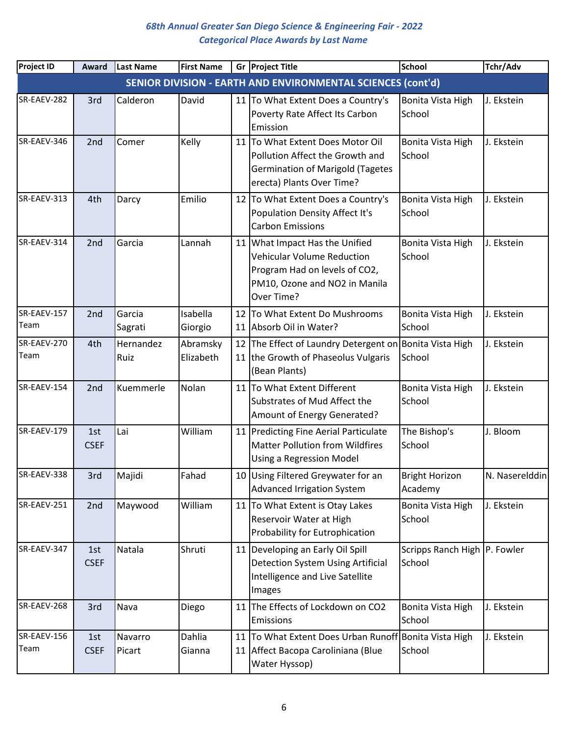| <b>Project ID</b>   | Award              | <b>Last Name</b>  | <b>First Name</b>     | Gr Project Title                                                                                                                                    | <b>School</b>                          | Tchr/Adv       |
|---------------------|--------------------|-------------------|-----------------------|-----------------------------------------------------------------------------------------------------------------------------------------------------|----------------------------------------|----------------|
|                     |                    |                   |                       | SENIOR DIVISION - EARTH AND ENVIRONMENTAL SCIENCES (cont'd)                                                                                         |                                        |                |
| SR-EAEV-282         | 3rd                | Calderon          | David                 | 11 To What Extent Does a Country's<br>Poverty Rate Affect Its Carbon<br>Emission                                                                    | Bonita Vista High<br>School            | J. Ekstein     |
| SR-EAEV-346         | 2 <sub>nd</sub>    | Comer             | Kelly                 | 11 To What Extent Does Motor Oil<br>Pollution Affect the Growth and<br><b>Germination of Marigold (Tagetes</b><br>erecta) Plants Over Time?         | Bonita Vista High<br>School            | J. Ekstein     |
| SR-EAEV-313         | 4th                | Darcy             | Emilio                | 12 To What Extent Does a Country's<br>Population Density Affect It's<br><b>Carbon Emissions</b>                                                     | Bonita Vista High<br>School            | J. Ekstein     |
| SR-EAEV-314         | 2nd                | Garcia            | Lannah                | 11 What Impact Has the Unified<br><b>Vehicular Volume Reduction</b><br>Program Had on levels of CO2,<br>PM10, Ozone and NO2 in Manila<br>Over Time? | Bonita Vista High<br>School            | J. Ekstein     |
| SR-EAEV-157<br>Team | 2 <sub>nd</sub>    | Garcia<br>Sagrati | Isabella<br>Giorgio   | 12 To What Extent Do Mushrooms<br>11 Absorb Oil in Water?                                                                                           | Bonita Vista High<br>School            | J. Ekstein     |
| SR-EAEV-270<br>Team | 4th                | Hernandez<br>Ruiz | Abramsky<br>Elizabeth | 12 The Effect of Laundry Detergent on Bonita Vista High<br>11 the Growth of Phaseolus Vulgaris<br>(Bean Plants)                                     | School                                 | J. Ekstein     |
| SR-EAEV-154         | 2nd                | Kuemmerle         | Nolan                 | 11 To What Extent Different<br>Substrates of Mud Affect the<br>Amount of Energy Generated?                                                          | Bonita Vista High<br>School            | J. Ekstein     |
| SR-EAEV-179         | 1st<br><b>CSEF</b> | Lai               | William               | 11 Predicting Fine Aerial Particulate<br><b>Matter Pollution from Wildfires</b><br>Using a Regression Model                                         | The Bishop's<br>School                 | J. Bloom       |
| SR-EAEV-338         | 3rd                | Majidi            | Fahad                 | 10 Using Filtered Greywater for an<br><b>Advanced Irrigation System</b>                                                                             | <b>Bright Horizon</b><br>Academy       | N. Naserelddin |
| SR-EAEV-251         | 2nd                | Maywood           | William               | 11 To What Extent is Otay Lakes<br>Reservoir Water at High<br>Probability for Eutrophication                                                        | Bonita Vista High<br>School            | J. Ekstein     |
| SR-EAEV-347         | 1st<br><b>CSEF</b> | Natala            | Shruti                | 11 Developing an Early Oil Spill<br><b>Detection System Using Artificial</b><br>Intelligence and Live Satellite<br>Images                           | Scripps Ranch High P. Fowler<br>School |                |
| SR-EAEV-268         | 3rd                | Nava              | Diego                 | 11 The Effects of Lockdown on CO2<br>Emissions                                                                                                      | Bonita Vista High<br>School            | J. Ekstein     |
| SR-EAEV-156<br>Team | 1st<br><b>CSEF</b> | Navarro<br>Picart | Dahlia<br>Gianna      | 11 To What Extent Does Urban Runoff Bonita Vista High<br>11 Affect Bacopa Caroliniana (Blue<br>Water Hyssop)                                        | School                                 | J. Ekstein     |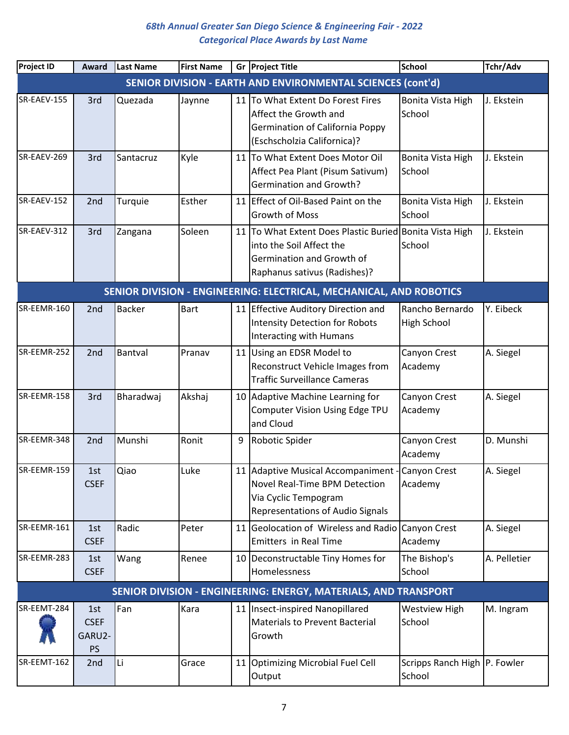| <b>Project ID</b> | Award                              | Last Name     | <b>First Name</b> |    | Gr Project Title                                                                                                                                 | <b>School</b>                          | Tchr/Adv     |
|-------------------|------------------------------------|---------------|-------------------|----|--------------------------------------------------------------------------------------------------------------------------------------------------|----------------------------------------|--------------|
|                   |                                    |               |                   |    | SENIOR DIVISION - EARTH AND ENVIRONMENTAL SCIENCES (cont'd)                                                                                      |                                        |              |
| SR-EAEV-155       | 3rd                                | Quezada       | Jaynne            |    | 11 To What Extent Do Forest Fires<br>Affect the Growth and<br><b>Germination of California Poppy</b><br>(Eschscholzia Californica)?              | Bonita Vista High<br>School            | J. Ekstein   |
| SR-EAEV-269       | 3rd                                | Santacruz     | Kyle              |    | 11 To What Extent Does Motor Oil<br>Affect Pea Plant (Pisum Sativum)<br><b>Germination and Growth?</b>                                           | Bonita Vista High<br>School            | J. Ekstein   |
| SR-EAEV-152       | 2nd                                | Turquie       | Esther            |    | 11 Effect of Oil-Based Paint on the<br>Growth of Moss                                                                                            | Bonita Vista High<br>School            | J. Ekstein   |
| SR-EAEV-312       | 3rd                                | Zangana       | Soleen            |    | 11 To What Extent Does Plastic Buried Bonita Vista High<br>into the Soil Affect the<br>Germination and Growth of<br>Raphanus sativus (Radishes)? | School                                 | J. Ekstein   |
|                   |                                    |               |                   |    | SENIOR DIVISION - ENGINEERING: ELECTRICAL, MECHANICAL, AND ROBOTICS                                                                              |                                        |              |
| SR-EEMR-160       | 2nd                                | <b>Backer</b> | <b>Bart</b>       |    | 11 Effective Auditory Direction and<br><b>Intensity Detection for Robots</b><br>Interacting with Humans                                          | Rancho Bernardo<br><b>High School</b>  | Y. Eibeck    |
| SR-EEMR-252       | 2nd                                | Bantval       | Pranav            |    | 11 Using an EDSR Model to<br>Reconstruct Vehicle Images from<br><b>Traffic Surveillance Cameras</b>                                              | Canyon Crest<br>Academy                | A. Siegel    |
| SR-EEMR-158       | 3rd                                | Bharadwaj     | Akshaj            | 10 | Adaptive Machine Learning for<br>Computer Vision Using Edge TPU<br>and Cloud                                                                     | Canyon Crest<br>Academy                | A. Siegel    |
| SR-EEMR-348       | 2nd                                | Munshi        | Ronit             | 9  | Robotic Spider                                                                                                                                   | Canyon Crest<br>Academy                | D. Munshi    |
| SR-EEMR-159       | 1st<br><b>CSEF</b>                 | Qiao          | Luke              |    | 11 Adaptive Musical Accompaniment - Canyon Crest<br>Novel Real-Time BPM Detection<br>Via Cyclic Tempogram<br>Representations of Audio Signals    | Academy                                | A. Siegel    |
| SR-EEMR-161       | 1st<br><b>CSEF</b>                 | Radic         | Peter             |    | 11 Geolocation of Wireless and Radio Canyon Crest<br><b>Emitters in Real Time</b>                                                                | Academy                                | A. Siegel    |
| SR-EEMR-283       | 1st<br><b>CSEF</b>                 | Wang          | Renee             |    | 10 Deconstructable Tiny Homes for<br>Homelessness                                                                                                | The Bishop's<br>School                 | A. Pelletier |
|                   |                                    |               |                   |    | SENIOR DIVISION - ENGINEERING: ENERGY, MATERIALS, AND TRANSPORT                                                                                  |                                        |              |
| SR-EEMT-284       | 1st<br><b>CSEF</b><br>GARU2-<br>PS | Fan           | Kara              |    | 11 Insect-inspired Nanopillared<br><b>Materials to Prevent Bacterial</b><br>Growth                                                               | <b>Westview High</b><br>School         | M. Ingram    |
| SR-EEMT-162       | 2nd                                | Li            | Grace             |    | 11 Optimizing Microbial Fuel Cell<br>Output                                                                                                      | Scripps Ranch High P. Fowler<br>School |              |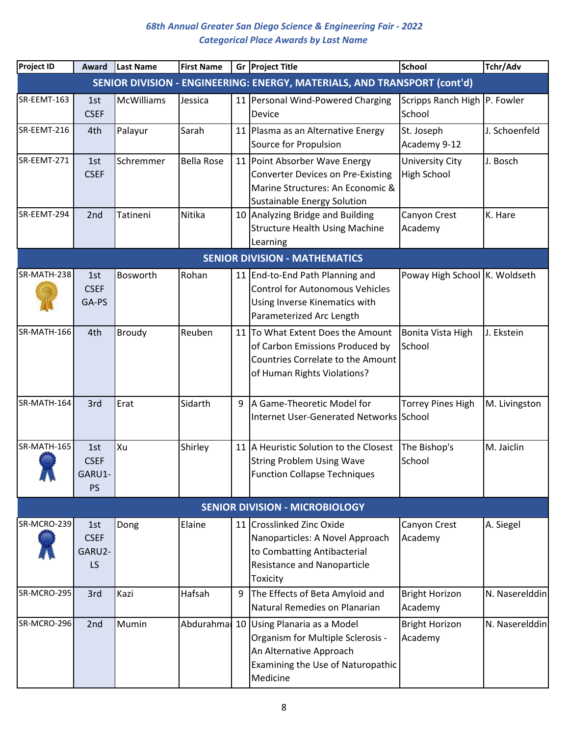| <b>Project ID</b> | Award                               | <b>Last Name</b>  | <b>First Name</b> |   | Gr Project Title                                                                                                                                    | <b>School</b>                          | Tchr/Adv       |
|-------------------|-------------------------------------|-------------------|-------------------|---|-----------------------------------------------------------------------------------------------------------------------------------------------------|----------------------------------------|----------------|
|                   |                                     |                   |                   |   | SENIOR DIVISION - ENGINEERING: ENERGY, MATERIALS, AND TRANSPORT (cont'd)                                                                            |                                        |                |
| SR-EEMT-163       | 1st<br><b>CSEF</b>                  | <b>McWilliams</b> | Jessica           |   | 11 Personal Wind-Powered Charging<br>Device                                                                                                         | Scripps Ranch High P. Fowler<br>School |                |
| SR-EEMT-216       | 4th                                 | Palayur           | Sarah             |   | 11 Plasma as an Alternative Energy<br>Source for Propulsion                                                                                         | St. Joseph<br>Academy 9-12             | J. Schoenfeld  |
| SR-EEMT-271       | 1st<br><b>CSEF</b>                  | Schremmer         | <b>Bella Rose</b> |   | 11 Point Absorber Wave Energy<br><b>Converter Devices on Pre-Existing</b><br>Marine Structures: An Economic &<br><b>Sustainable Energy Solution</b> | University City<br><b>High School</b>  | J. Bosch       |
| SR-EEMT-294       | 2nd                                 | Tatineni          | Nitika            |   | 10 Analyzing Bridge and Building<br><b>Structure Health Using Machine</b><br>Learning                                                               | Canyon Crest<br>Academy                | K. Hare        |
|                   |                                     |                   |                   |   | <b>SENIOR DIVISION - MATHEMATICS</b>                                                                                                                |                                        |                |
| SR-MATH-238       | 1st<br><b>CSEF</b><br>GA-PS         | Bosworth          | Rohan             |   | 11 End-to-End Path Planning and<br><b>Control for Autonomous Vehicles</b><br>Using Inverse Kinematics with<br>Parameterized Arc Length              | Poway High School K. Woldseth          |                |
| SR-MATH-166       | 4th                                 | Broudy            | Reuben            |   | 11 To What Extent Does the Amount<br>of Carbon Emissions Produced by<br>Countries Correlate to the Amount<br>of Human Rights Violations?            | Bonita Vista High<br>School            | J. Ekstein     |
| SR-MATH-164       | 3rd                                 | Erat              | Sidarth           | 9 | A Game-Theoretic Model for<br>Internet User-Generated Networks School                                                                               | <b>Torrey Pines High</b>               | M. Livingston  |
| SR-MATH-165       | 1st<br><b>CSEF</b><br>GARU1-<br>PS  | Xu                | Shirley           |   | 11 A Heuristic Solution to the Closest<br><b>String Problem Using Wave</b><br><b>Function Collapse Techniques</b>                                   | The Bishop's<br>School                 | M. Jaiclin     |
|                   |                                     |                   |                   |   | <b>SENIOR DIVISION - MICROBIOLOGY</b>                                                                                                               |                                        |                |
| SR-MCRO-239       | 1st<br><b>CSEF</b><br>GARU2-<br>LS. | Dong              | Elaine            |   | 11 Crosslinked Zinc Oxide<br>Nanoparticles: A Novel Approach<br>to Combatting Antibacterial<br><b>Resistance and Nanoparticle</b><br>Toxicity       | Canyon Crest<br>Academy                | A. Siegel      |
| SR-MCRO-295       | 3rd                                 | Kazi              | Hafsah            | 9 | The Effects of Beta Amyloid and<br>Natural Remedies on Planarian                                                                                    | <b>Bright Horizon</b><br>Academy       | N. Naserelddin |
| SR-MCRO-296       | 2nd                                 | Mumin             | Abdurahma         |   | 10 Using Planaria as a Model<br>Organism for Multiple Sclerosis -<br>An Alternative Approach<br>Examining the Use of Naturopathic<br>Medicine       | <b>Bright Horizon</b><br>Academy       | N. Naserelddin |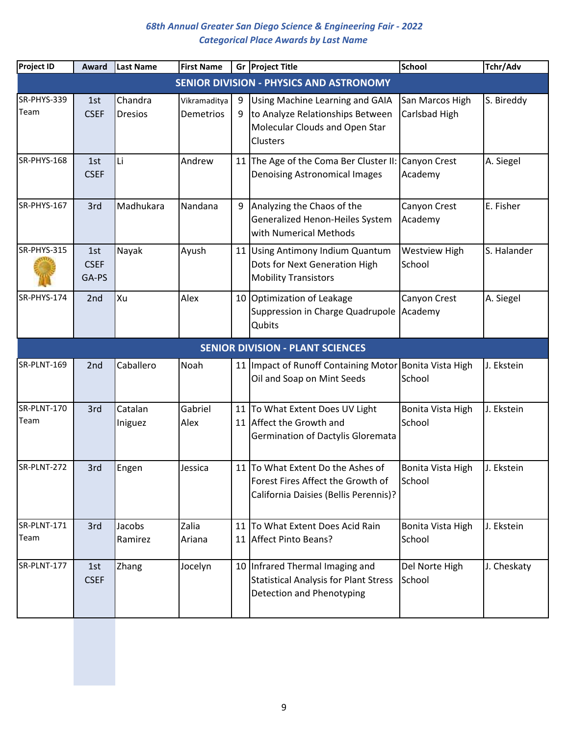| Project ID          | Award                       | <b>Last Name</b>          | <b>First Name</b>                |        | Gr Project Title                                                                                                    | <b>School</b>                    | Tchr/Adv    |
|---------------------|-----------------------------|---------------------------|----------------------------------|--------|---------------------------------------------------------------------------------------------------------------------|----------------------------------|-------------|
|                     |                             |                           |                                  |        | <b>SENIOR DIVISION - PHYSICS AND ASTRONOMY</b>                                                                      |                                  |             |
| SR-PHYS-339<br>Team | 1st<br><b>CSEF</b>          | Chandra<br><b>Dresios</b> | Vikramaditya<br><b>Demetrios</b> | 9<br>9 | Using Machine Learning and GAIA<br>to Analyze Relationships Between<br>Molecular Clouds and Open Star<br>Clusters   | San Marcos High<br>Carlsbad High | S. Bireddy  |
| SR-PHYS-168         | 1st<br><b>CSEF</b>          | Li                        | Andrew                           |        | 11 The Age of the Coma Ber Cluster II:<br><b>Denoising Astronomical Images</b>                                      | Canyon Crest<br>Academy          | A. Siegel   |
| SR-PHYS-167         | 3rd                         | Madhukara                 | Nandana                          | 9      | Analyzing the Chaos of the<br>Generalized Henon-Heiles System<br>with Numerical Methods                             | Canyon Crest<br>Academy          | E. Fisher   |
| SR-PHYS-315         | 1st<br><b>CSEF</b><br>GA-PS | Nayak                     | Ayush                            |        | 11 Using Antimony Indium Quantum<br>Dots for Next Generation High<br><b>Mobility Transistors</b>                    | <b>Westview High</b><br>School   | S. Halander |
| SR-PHYS-174         | 2nd                         | Xu                        | Alex                             | 10     | Optimization of Leakage<br>Suppression in Charge Quadrupole<br>Qubits                                               | Canyon Crest<br>Academy          | A. Siegel   |
|                     |                             |                           |                                  |        | <b>SENIOR DIVISION - PLANT SCIENCES</b>                                                                             |                                  |             |
| SR-PLNT-169         | 2nd                         | Caballero                 | Noah                             | 11     | Impact of Runoff Containing Motor Bonita Vista High<br>Oil and Soap on Mint Seeds                                   | School                           | J. Ekstein  |
| SR-PLNT-170<br>Team | 3rd                         | Catalan<br>Iniguez        | Gabriel<br>Alex                  |        | 11 To What Extent Does UV Light<br>11 Affect the Growth and<br>Germination of Dactylis Gloremata                    | Bonita Vista High<br>School      | J. Ekstein  |
| SR-PLNT-272         | 3rd                         | Engen                     | Jessica                          |        | 11 To What Extent Do the Ashes of<br>Forest Fires Affect the Growth of<br>California Daisies (Bellis Perennis)?     | Bonita Vista High<br>School      | J. Ekstein  |
| SR-PLNT-171<br>Team | 3rd                         | Jacobs<br>Ramirez         | Zalia<br>Ariana                  |        | 11 To What Extent Does Acid Rain<br>11 Affect Pinto Beans?                                                          | Bonita Vista High<br>School      | J. Ekstein  |
| SR-PLNT-177         | 1st<br><b>CSEF</b>          | Zhang                     | Jocelyn                          |        | 10 Infrared Thermal Imaging and<br><b>Statistical Analysis for Plant Stress</b><br><b>Detection and Phenotyping</b> | Del Norte High<br>School         | J. Cheskaty |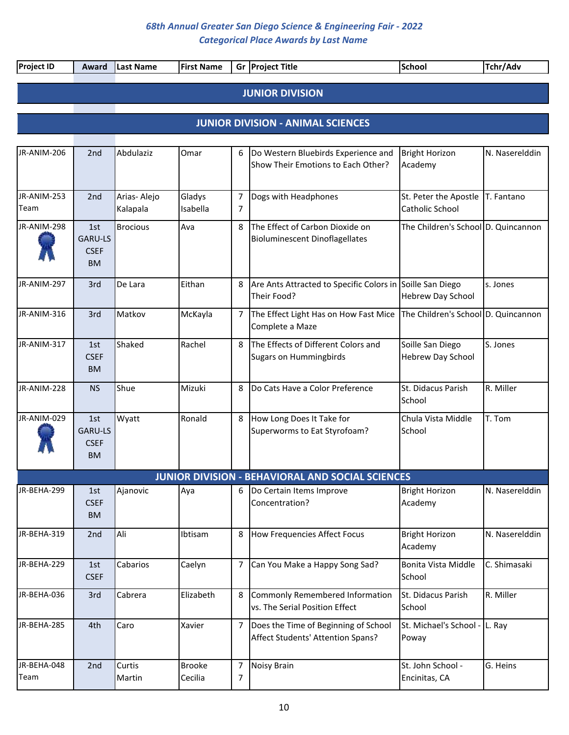| <b>Project ID</b>   | Award                                             | Last Name               | <b>First Name</b>        |                     | Gr Project Title                                                          | <b>School</b>                                       | Tchr/Adv       |
|---------------------|---------------------------------------------------|-------------------------|--------------------------|---------------------|---------------------------------------------------------------------------|-----------------------------------------------------|----------------|
|                     |                                                   |                         |                          |                     | <b>JUNIOR DIVISION</b>                                                    |                                                     |                |
|                     |                                                   |                         |                          |                     |                                                                           |                                                     |                |
|                     |                                                   |                         |                          |                     | <b>JUNIOR DIVISION - ANIMAL SCIENCES</b>                                  |                                                     |                |
|                     |                                                   |                         |                          |                     |                                                                           |                                                     |                |
| JR-ANIM-206         | 2nd                                               | Abdulaziz               | Omar                     | 6                   | Do Western Bluebirds Experience and<br>Show Their Emotions to Each Other? | <b>Bright Horizon</b><br>Academy                    | N. Naserelddin |
| JR-ANIM-253<br>Team | 2nd                                               | Arias-Alejo<br>Kalapala | Gladys<br>Isabella       | $\overline{7}$<br>7 | Dogs with Headphones                                                      | St. Peter the Apostle T. Fantano<br>Catholic School |                |
| JR-ANIM-298         | 1st<br><b>GARU-LS</b><br><b>CSEF</b><br><b>BM</b> | <b>Brocious</b>         | Ava                      | 8                   | The Effect of Carbon Dioxide on<br><b>Bioluminescent Dinoflagellates</b>  | The Children's School D. Quincannon                 |                |
| JR-ANIM-297         | 3rd                                               | De Lara                 | Eithan                   | 8                   | Are Ants Attracted to Specific Colors in Soille San Diego<br>Their Food?  | Hebrew Day School                                   | s. Jones       |
| JR-ANIM-316         | 3rd                                               | Matkov                  | McKayla                  | $\overline{7}$      | The Effect Light Has on How Fast Mice<br>Complete a Maze                  | The Children's School D. Quincannon                 |                |
| JR-ANIM-317         | 1st<br><b>CSEF</b><br><b>BM</b>                   | Shaked                  | Rachel                   | 8                   | The Effects of Different Colors and<br><b>Sugars on Hummingbirds</b>      | Soille San Diego<br><b>Hebrew Day School</b>        | S. Jones       |
| JR-ANIM-228         | <b>NS</b>                                         | Shue                    | Mizuki                   | 8                   | Do Cats Have a Color Preference                                           | St. Didacus Parish<br>School                        | R. Miller      |
| JR-ANIM-029         | 1st<br><b>GARU-LS</b><br><b>CSEF</b><br><b>BM</b> | Wyatt                   | Ronald                   | 8                   | How Long Does It Take for<br>Superworms to Eat Styrofoam?                 | Chula Vista Middle<br>School                        | T. Tom         |
|                     |                                                   |                         |                          |                     | <b>JUNIOR DIVISION - BEHAVIORAL AND SOCIAL SCIENCES</b>                   |                                                     |                |
| JR-BEHA-299         | 1st<br><b>CSEF</b><br><b>BM</b>                   | Ajanovic                | Aya                      | 6                   | Do Certain Items Improve<br>Concentration?                                | <b>Bright Horizon</b><br>Academy                    | N. Naserelddin |
| JR-BEHA-319         | 2nd                                               | Ali                     | Ibtisam                  | 8                   | How Frequencies Affect Focus                                              | <b>Bright Horizon</b><br>Academy                    | N. Naserelddin |
| JR-BEHA-229         | 1st<br><b>CSEF</b>                                | Cabarios                | Caelyn                   | 7                   | Can You Make a Happy Song Sad?                                            | Bonita Vista Middle<br>School                       | C. Shimasaki   |
| JR-BEHA-036         | 3rd                                               | Cabrera                 | Elizabeth                | 8                   | Commonly Remembered Information<br>vs. The Serial Position Effect         | St. Didacus Parish<br>School                        | R. Miller      |
| JR-BEHA-285         | 4th                                               | Caro                    | Xavier                   | 7                   | Does the Time of Beginning of School<br>Affect Students' Attention Spans? | St. Michael's School - L. Ray<br>Poway              |                |
| JR-BEHA-048<br>Team | 2nd                                               | Curtis<br>Martin        | <b>Brooke</b><br>Cecilia | 7<br>7              | <b>Noisy Brain</b>                                                        | St. John School -<br>Encinitas, CA                  | G. Heins       |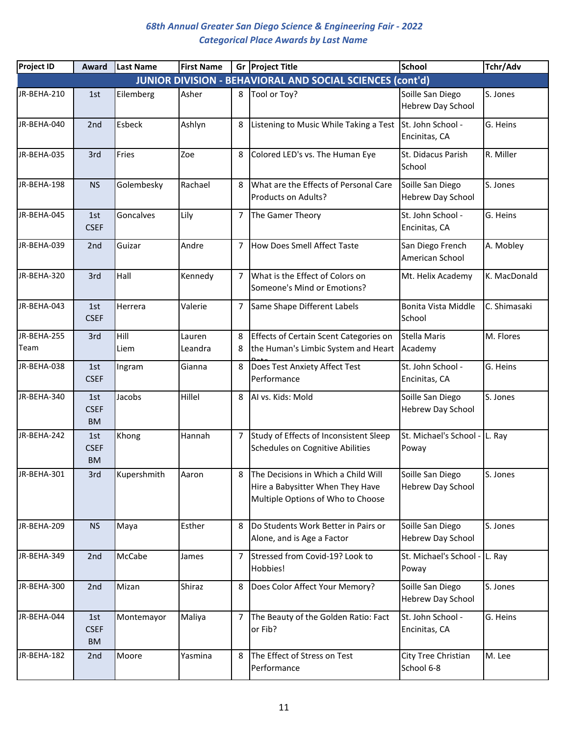| <b>Project ID</b>   | Award                           | Last Name    | <b>First Name</b> |                | Gr Project Title                                                                                               | <b>School</b>                                | Tchr/Adv     |
|---------------------|---------------------------------|--------------|-------------------|----------------|----------------------------------------------------------------------------------------------------------------|----------------------------------------------|--------------|
|                     |                                 |              |                   |                | JUNIOR DIVISION - BEHAVIORAL AND SOCIAL SCIENCES (cont'd)                                                      |                                              |              |
| JR-BEHA-210         | 1st                             | Eilemberg    | Asher             | 8              | Tool or Toy?                                                                                                   | Soille San Diego<br>Hebrew Day School        | S. Jones     |
| JR-BEHA-040         | 2nd                             | Esbeck       | Ashlyn            | 8              | Listening to Music While Taking a Test                                                                         | St. John School -<br>Encinitas, CA           | G. Heins     |
| JR-BEHA-035         | 3rd                             | Fries        | Zoe               | 8              | Colored LED's vs. The Human Eye                                                                                | St. Didacus Parish<br>School                 | R. Miller    |
| JR-BEHA-198         | <b>NS</b>                       | Golembesky   | Rachael           | 8              | What are the Effects of Personal Care<br>Products on Adults?                                                   | Soille San Diego<br>Hebrew Day School        | S. Jones     |
| JR-BEHA-045         | 1st<br><b>CSEF</b>              | Goncalves    | Lily              | 7              | The Gamer Theory                                                                                               | St. John School -<br>Encinitas, CA           | G. Heins     |
| JR-BEHA-039         | 2nd                             | Guizar       | Andre             | $\overline{7}$ | How Does Smell Affect Taste                                                                                    | San Diego French<br>American School          | A. Mobley    |
| JR-BEHA-320         | 3rd                             | Hall         | Kennedy           | $\overline{7}$ | What is the Effect of Colors on<br>Someone's Mind or Emotions?                                                 | Mt. Helix Academy                            | K. MacDonald |
| JR-BEHA-043         | 1st<br><b>CSEF</b>              | Herrera      | Valerie           | $\overline{7}$ | Same Shape Different Labels                                                                                    | Bonita Vista Middle<br>School                | C. Shimasaki |
| JR-BEHA-255<br>Team | 3rd                             | Hill<br>Liem | Lauren<br>Leandra | 8<br>8         | Effects of Certain Scent Categories on<br>the Human's Limbic System and Heart                                  | <b>Stella Maris</b><br>Academy               | M. Flores    |
| JR-BEHA-038         | 1st<br><b>CSEF</b>              | Ingram       | Gianna            | 8              | Does Test Anxiety Affect Test<br>Performance                                                                   | St. John School -<br>Encinitas, CA           | G. Heins     |
| JR-BEHA-340         | 1st<br><b>CSEF</b><br><b>BM</b> | Jacobs       | Hillel            | 8              | AI vs. Kids: Mold                                                                                              | Soille San Diego<br>Hebrew Day School        | S. Jones     |
| JR-BEHA-242         | 1st<br><b>CSEF</b><br><b>BM</b> | Khong        | Hannah            | 7              | Study of Effects of Inconsistent Sleep<br>Schedules on Cognitive Abilities                                     | St. Michael's School - L. Ray<br>Poway       |              |
| JR-BEHA-301         | 3rd                             | Kupershmith  | Aaron             |                | 8 The Decisions in Which a Child Will<br>Hire a Babysitter When They Have<br>Multiple Options of Who to Choose | Soille San Diego<br><b>Hebrew Day School</b> | S. Jones     |
| JR-BEHA-209         | <b>NS</b>                       | Maya         | Esther            | 8              | Do Students Work Better in Pairs or<br>Alone, and is Age a Factor                                              | Soille San Diego<br>Hebrew Day School        | S. Jones     |
| JR-BEHA-349         | 2nd                             | McCabe       | James             | 7              | Stressed from Covid-19? Look to<br>Hobbies!                                                                    | St. Michael's School - L. Ray<br>Poway       |              |
| JR-BEHA-300         | 2nd                             | Mizan        | Shiraz            | 8              | Does Color Affect Your Memory?                                                                                 | Soille San Diego<br>Hebrew Day School        | S. Jones     |
| JR-BEHA-044         | 1st<br><b>CSEF</b><br><b>BM</b> | Montemayor   | Maliya            | $\overline{7}$ | The Beauty of the Golden Ratio: Fact<br>or Fib?                                                                | St. John School -<br>Encinitas, CA           | G. Heins     |
| JR-BEHA-182         | 2nd                             | Moore        | Yasmina           | 8              | The Effect of Stress on Test<br>Performance                                                                    | City Tree Christian<br>School 6-8            | M. Lee       |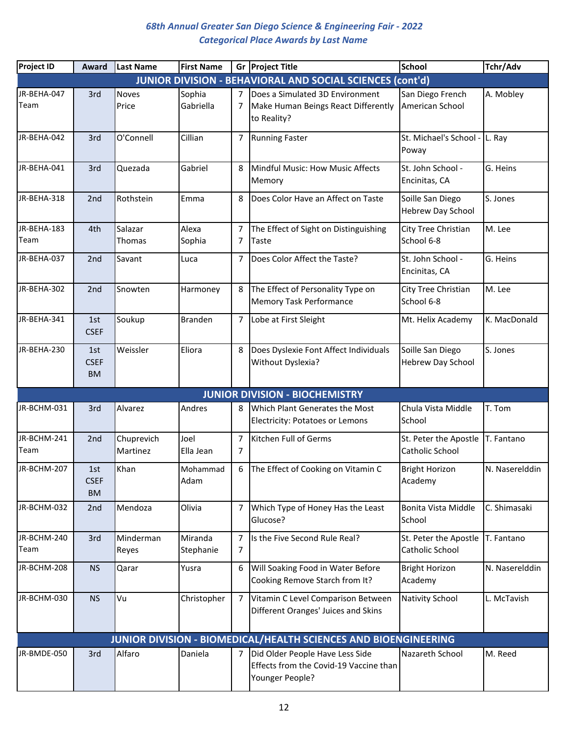| <b>Project ID</b>   | Award                           | Last Name              | <b>First Name</b>    |                     | Gr Project Title                                                                             | <b>School</b>                                | Tchr/Adv       |
|---------------------|---------------------------------|------------------------|----------------------|---------------------|----------------------------------------------------------------------------------------------|----------------------------------------------|----------------|
|                     |                                 |                        |                      |                     | <b>JUNIOR DIVISION - BEHAVIORAL AND SOCIAL SCIENCES (cont'd)</b>                             |                                              |                |
| JR-BEHA-047<br>Team | 3rd                             | <b>Noves</b><br>Price  | Sophia<br>Gabriella  | 7<br>7              | Does a Simulated 3D Environment<br>Make Human Beings React Differently<br>to Reality?        | San Diego French<br>American School          | A. Mobley      |
| JR-BEHA-042         | 3rd                             | O'Connell              | Cillian              | 7                   | <b>Running Faster</b>                                                                        | St. Michael's School - L. Ray<br>Poway       |                |
| JR-BEHA-041         | 3rd                             | Quezada                | Gabriel              | 8                   | Mindful Music: How Music Affects<br>Memory                                                   | St. John School -<br>Encinitas, CA           | G. Heins       |
| JR-BEHA-318         | 2nd                             | Rothstein              | Emma                 | 8                   | Does Color Have an Affect on Taste                                                           | Soille San Diego<br><b>Hebrew Day School</b> | S. Jones       |
| JR-BEHA-183<br>Team | 4th                             | Salazar<br>Thomas      | Alexa<br>Sophia      | 7<br>7              | The Effect of Sight on Distinguishing<br>Taste                                               | City Tree Christian<br>School 6-8            | M. Lee         |
| JR-BEHA-037         | 2nd                             | Savant                 | Luca                 | 7                   | Does Color Affect the Taste?                                                                 | St. John School -<br>Encinitas, CA           | G. Heins       |
| JR-BEHA-302         | 2nd                             | Snowten                | Harmoney             |                     | The Effect of Personality Type on<br><b>Memory Task Performance</b>                          | City Tree Christian<br>School 6-8            | M. Lee         |
| JR-BEHA-341         | 1st<br><b>CSEF</b>              | Soukup                 | <b>Branden</b>       | $\overline{7}$      | Lobe at First Sleight                                                                        | Mt. Helix Academy                            | K. MacDonald   |
| JR-BEHA-230         | 1st<br><b>CSEF</b><br><b>BM</b> | Weissler               | Eliora               | 8                   | Does Dyslexie Font Affect Individuals<br>Without Dyslexia?                                   | Soille San Diego<br>Hebrew Day School        | S. Jones       |
|                     |                                 |                        |                      |                     | <b>JUNIOR DIVISION - BIOCHEMISTRY</b>                                                        |                                              |                |
| JR-BCHM-031         | 3rd                             | Alvarez                | Andres               | 8                   | Which Plant Generates the Most<br><b>Electricity: Potatoes or Lemons</b>                     | Chula Vista Middle<br>School                 | T. Tom         |
| JR-BCHM-241<br>Team | 2nd                             | Chuprevich<br>Martinez | Joel<br>Ella Jean    | $\overline{7}$<br>7 | Kitchen Full of Germs                                                                        | St. Peter the Apostle<br>Catholic School     | T. Fantano     |
| JR-BCHM-207         | 1st<br><b>CSEF</b><br><b>BM</b> | Khan                   | Mohammad<br>Adam     | 6                   | The Effect of Cooking on Vitamin C                                                           | <b>Bright Horizon</b><br>Academy             | N. Naserelddin |
| JR-BCHM-032         | 2nd                             | Mendoza                | Olivia               | 7                   | Which Type of Honey Has the Least<br>Glucose?                                                | Bonita Vista Middle<br>School                | C. Shimasaki   |
| JR-BCHM-240<br>Team | 3rd                             | Minderman<br>Reyes     | Miranda<br>Stephanie | $\overline{7}$<br>7 | Is the Five Second Rule Real?                                                                | St. Peter the Apostle<br>Catholic School     | T. Fantano     |
| JR-BCHM-208         | <b>NS</b>                       | Qarar                  | Yusra                | 6                   | Will Soaking Food in Water Before<br>Cooking Remove Starch from It?                          | <b>Bright Horizon</b><br>Academy             | N. Naserelddin |
| JR-BCHM-030         | <b>NS</b>                       | Vu                     | Christopher          | $\overline{7}$      | Vitamin C Level Comparison Between<br>Different Oranges' Juices and Skins                    | <b>Nativity School</b>                       | L. McTavish    |
|                     |                                 |                        |                      |                     | <b>JUNIOR DIVISION - BIOMEDICAL/HEALTH SCIENCES AND BIOENGINEERING</b>                       |                                              |                |
| JR-BMDE-050         | 3rd                             | Alfaro                 | Daniela              | $\overline{7}$      | Did Older People Have Less Side<br>Effects from the Covid-19 Vaccine than<br>Younger People? | Nazareth School                              | M. Reed        |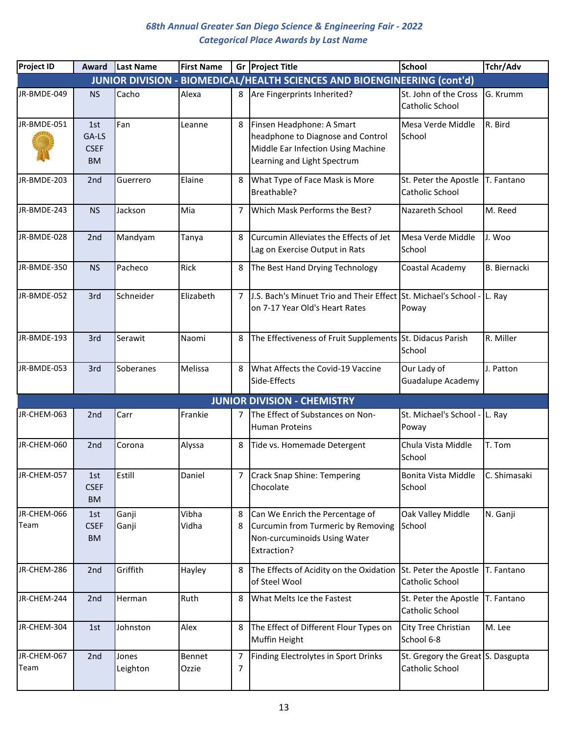| <b>Project ID</b>   | Award                             | Last Name         | <b>First Name</b> |                | Gr Project Title                                                                                                                    | <b>School</b>                                        | Tchr/Adv            |
|---------------------|-----------------------------------|-------------------|-------------------|----------------|-------------------------------------------------------------------------------------------------------------------------------------|------------------------------------------------------|---------------------|
|                     |                                   |                   |                   |                | JUNIOR DIVISION - BIOMEDICAL/HEALTH SCIENCES AND BIOENGINEERING (cont'd)                                                            |                                                      |                     |
| JR-BMDE-049         | <b>NS</b>                         | Cacho             | Alexa             | 8              | Are Fingerprints Inherited?                                                                                                         | St. John of the Cross<br>Catholic School             | G. Krumm            |
| JR-BMDE-051         | 1st<br>GA-LS<br><b>CSEF</b><br>BM | Fan               | Leanne            | 8              | Finsen Headphone: A Smart<br>headphone to Diagnose and Control<br>Middle Ear Infection Using Machine<br>Learning and Light Spectrum | Mesa Verde Middle<br>School                          | R. Bird             |
| JR-BMDE-203         | 2nd                               | Guerrero          | Elaine            | 8              | What Type of Face Mask is More<br>Breathable?                                                                                       | St. Peter the Apostle<br>Catholic School             | T. Fantano          |
| JR-BMDE-243         | <b>NS</b>                         | Jackson           | Mia               | 7              | Which Mask Performs the Best?                                                                                                       | Nazareth School                                      | M. Reed             |
| JR-BMDE-028         | 2nd                               | Mandyam           | Tanya             | 8              | Curcumin Alleviates the Effects of Jet<br>Lag on Exercise Output in Rats                                                            | Mesa Verde Middle<br>School                          | J. Woo              |
| JR-BMDE-350         | <b>NS</b>                         | Pacheco           | Rick              | 8              | The Best Hand Drying Technology                                                                                                     | Coastal Academy                                      | <b>B.</b> Biernacki |
| JR-BMDE-052         | 3rd                               | Schneider         | Elizabeth         | $\overline{7}$ | J.S. Bach's Minuet Trio and Their Effect St. Michael's School -<br>on 7-17 Year Old's Heart Rates                                   | Poway                                                | L. Ray              |
| JR-BMDE-193         | 3rd                               | Serawit           | Naomi             | 8              | The Effectiveness of Fruit Supplements St. Didacus Parish                                                                           | School                                               | R. Miller           |
| JR-BMDE-053         | 3rd                               | Soberanes         | Melissa           | 8              | What Affects the Covid-19 Vaccine<br>Side-Effects                                                                                   | Our Lady of<br><b>Guadalupe Academy</b>              | J. Patton           |
|                     |                                   |                   |                   |                | <b>JUNIOR DIVISION - CHEMISTRY</b>                                                                                                  |                                                      |                     |
| JR-CHEM-063         | 2nd                               | Carr              | Frankie           | 7              | The Effect of Substances on Non-<br><b>Human Proteins</b>                                                                           | St. Michael's School - L. Ray<br>Poway               |                     |
| JR-CHEM-060         | 2 <sub>nd</sub>                   | Corona            | Alyssa            | 8              | Tide vs. Homemade Detergent                                                                                                         | Chula Vista Middle<br>School                         | T. Tom              |
| JR-CHEM-057         | 1st<br><b>CSEF</b><br><b>BM</b>   | Estill            | Daniel            |                | Crack Snap Shine: Tempering<br>Chocolate                                                                                            | Bonita Vista Middle<br>School                        | <b>C.</b> Shimasaki |
| JR-CHEM-066<br>Team | 1st<br><b>CSEF</b><br><b>BM</b>   | Ganji<br>Ganji    | Vibha<br>Vidha    | 8<br>8         | Can We Enrich the Percentage of<br>Curcumin from Turmeric by Removing<br>Non-curcuminoids Using Water<br>Extraction?                | Oak Valley Middle<br>School                          | N. Ganji            |
| JR-CHEM-286         | 2nd                               | Griffith          | Hayley            | 8              | The Effects of Acidity on the Oxidation<br>of Steel Wool                                                                            | St. Peter the Apostle<br>Catholic School             | T. Fantano          |
| JR-CHEM-244         | 2nd                               | Herman            | Ruth              | 8              | What Melts Ice the Fastest                                                                                                          | St. Peter the Apostle<br>Catholic School             | T. Fantano          |
| JR-CHEM-304         | 1st                               | Johnston          | Alex              | 8              | The Effect of Different Flour Types on<br><b>Muffin Height</b>                                                                      | City Tree Christian<br>School 6-8                    | M. Lee              |
| JR-CHEM-067<br>Team | 2nd                               | Jones<br>Leighton | Bennet<br>Ozzie   | 7<br>7         | Finding Electrolytes in Sport Drinks                                                                                                | St. Gregory the Great S. Dasgupta<br>Catholic School |                     |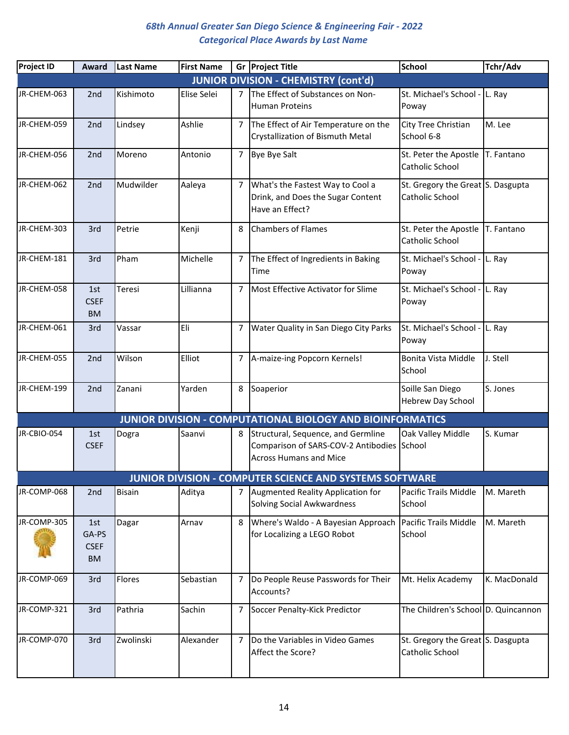| <b>Project ID</b> | Award                             | Last Name     | <b>First Name</b> |                | Gr Project Title                                                                                                  | <b>School</b>                                        | Tchr/Adv     |
|-------------------|-----------------------------------|---------------|-------------------|----------------|-------------------------------------------------------------------------------------------------------------------|------------------------------------------------------|--------------|
|                   |                                   |               |                   |                | <b>JUNIOR DIVISION - CHEMISTRY (cont'd)</b>                                                                       |                                                      |              |
| JR-CHEM-063       | 2nd                               | Kishimoto     | Elise Selei       | 7              | The Effect of Substances on Non-<br><b>Human Proteins</b>                                                         | St. Michael's School - L. Ray<br>Poway               |              |
| JR-CHEM-059       | 2nd                               | Lindsey       | Ashlie            | 7              | The Effect of Air Temperature on the<br>Crystallization of Bismuth Metal                                          | City Tree Christian<br>School 6-8                    | M. Lee       |
| JR-CHEM-056       | 2 <sub>nd</sub>                   | Moreno        | Antonio           | $\overline{7}$ | Bye Bye Salt                                                                                                      | St. Peter the Apostle<br>Catholic School             | T. Fantano   |
| JR-CHEM-062       | 2nd                               | Mudwilder     | Aaleya            | 7              | What's the Fastest Way to Cool a<br>Drink, and Does the Sugar Content<br>Have an Effect?                          | St. Gregory the Great S. Dasgupta<br>Catholic School |              |
| JR-CHEM-303       | 3rd                               | Petrie        | Kenji             | 8              | <b>Chambers of Flames</b>                                                                                         | St. Peter the Apostle<br>Catholic School             | T. Fantano   |
| JR-CHEM-181       | 3rd                               | Pham          | Michelle          | 7              | The Effect of Ingredients in Baking<br>Time                                                                       | St. Michael's School - L. Ray<br>Poway               |              |
| JR-CHEM-058       | 1st<br><b>CSEF</b><br><b>BM</b>   | Teresi        | Lillianna         | $\overline{7}$ | Most Effective Activator for Slime                                                                                | St. Michael's School - L. Ray<br>Poway               |              |
| JR-CHEM-061       | 3rd                               | Vassar        | Eli               | 7              | Water Quality in San Diego City Parks                                                                             | St. Michael's School - L. Ray<br>Poway               |              |
| JR-CHEM-055       | 2nd                               | Wilson        | Elliot            | 7              | A-maize-ing Popcorn Kernels!                                                                                      | Bonita Vista Middle<br>School                        | J. Stell     |
| JR-CHEM-199       | 2nd                               | Zanani        | Yarden            | 8              | Soaperior                                                                                                         | Soille San Diego<br>Hebrew Day School                | S. Jones     |
|                   |                                   |               |                   |                | <b>JUNIOR DIVISION - COMPUTATIONAL BIOLOGY AND BIOINFORMATICS</b>                                                 |                                                      |              |
| JR-CBIO-054       | 1st<br><b>CSEF</b>                | Dogra         | Saanvi            | 8              | Structural, Sequence, and Germline<br>Comparison of SARS-COV-2 Antibodies School<br><b>Across Humans and Mice</b> | Oak Valley Middle                                    | S. Kumar     |
|                   |                                   |               |                   |                | <b>JUNIOR DIVISION - COMPUTER SCIENCE AND SYSTEMS SOFTWARE</b>                                                    |                                                      |              |
| JR-COMP-068       | 2 <sub>nd</sub>                   | <b>Bisain</b> | Aditya            | 7              | Augmented Reality Application for<br>Solving Social Awkwardness                                                   | Pacific Trails Middle<br>School                      | M. Mareth    |
| JR-COMP-305       | 1st<br>GA-PS<br><b>CSEF</b><br>BM | Dagar         | Arnav             | 8              | Where's Waldo - A Bayesian Approach<br>for Localizing a LEGO Robot                                                | Pacific Trails Middle<br>School                      | M. Mareth    |
| JR-COMP-069       | 3rd                               | Flores        | Sebastian         | 7              | Do People Reuse Passwords for Their<br>Accounts?                                                                  | Mt. Helix Academy                                    | K. MacDonald |
| JR-COMP-321       | 3rd                               | Pathria       | Sachin            | 7              | Soccer Penalty-Kick Predictor                                                                                     | The Children's School D. Quincannon                  |              |
| JR-COMP-070       | 3rd                               | Zwolinski     | Alexander         | 7              | Do the Variables in Video Games<br>Affect the Score?                                                              | St. Gregory the Great S. Dasgupta<br>Catholic School |              |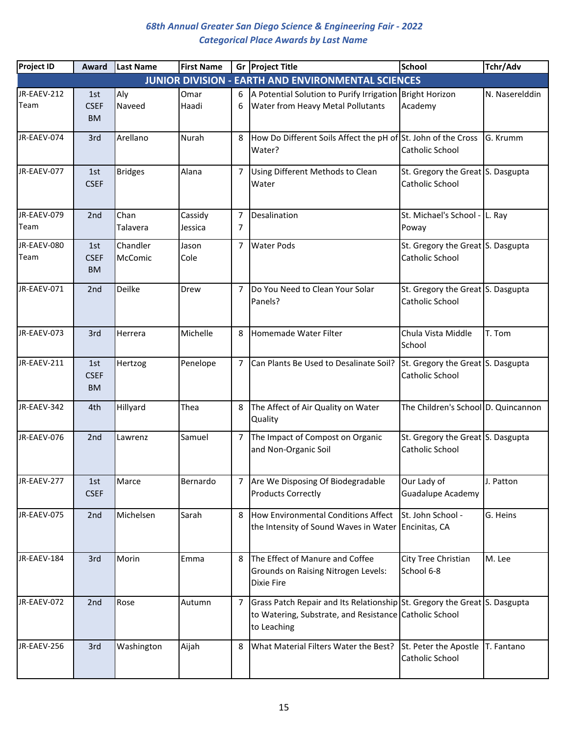| <b>Project ID</b>   | <b>Award</b>                    | Last Name        | <b>First Name</b>  |                | Gr Project Title                                                                                                                                   | <b>School</b>                                        | Tchr/Adv       |
|---------------------|---------------------------------|------------------|--------------------|----------------|----------------------------------------------------------------------------------------------------------------------------------------------------|------------------------------------------------------|----------------|
|                     |                                 |                  |                    |                | <b>JUNIOR DIVISION - EARTH AND ENVIRONMENTAL SCIENCES</b>                                                                                          |                                                      |                |
| JR-EAEV-212         | 1st                             | Aly              | Omar               | 6              | A Potential Solution to Purify Irrigation Bright Horizon                                                                                           |                                                      | N. Naserelddin |
| Team                | <b>CSEF</b><br><b>BM</b>        | Naveed           | Haadi              | 6              | <b>Water from Heavy Metal Pollutants</b>                                                                                                           | Academy                                              |                |
| JR-EAEV-074         | 3rd                             | Arellano         | Nurah              | 8              | How Do Different Soils Affect the pH of St. John of the Cross<br>Water?                                                                            | Catholic School                                      | G. Krumm       |
| JR-EAEV-077         | 1st<br><b>CSEF</b>              | <b>Bridges</b>   | Alana              | $\overline{7}$ | Using Different Methods to Clean<br>Water                                                                                                          | St. Gregory the Great S. Dasgupta<br>Catholic School |                |
| JR-EAEV-079<br>Team | 2nd                             | Chan<br>Talavera | Cassidy<br>Jessica | 7<br>7         | Desalination                                                                                                                                       | St. Michael's School - L. Ray<br>Poway               |                |
| JR-EAEV-080         | 1st                             | Chandler         | Jason              | 7              | <b>Water Pods</b>                                                                                                                                  | St. Gregory the Great S. Dasgupta                    |                |
| Team                | <b>CSEF</b><br><b>BM</b>        | McComic          | Cole               |                |                                                                                                                                                    | Catholic School                                      |                |
| JR-EAEV-071         | 2nd                             | Deilke           | <b>Drew</b>        | $\overline{7}$ | Do You Need to Clean Your Solar<br>Panels?                                                                                                         | St. Gregory the Great S. Dasgupta<br>Catholic School |                |
| JR-EAEV-073         | 3rd                             | Herrera          | Michelle           | 8              | Homemade Water Filter                                                                                                                              | Chula Vista Middle<br>School                         | T. Tom         |
| JR-EAEV-211         | 1st<br><b>CSEF</b><br><b>BM</b> | Hertzog          | Penelope           | 7              | Can Plants Be Used to Desalinate Soil?                                                                                                             | St. Gregory the Great S. Dasgupta<br>Catholic School |                |
| JR-EAEV-342         | 4th                             | Hillyard         | Thea               | 8              | The Affect of Air Quality on Water<br>Quality                                                                                                      | The Children's School D. Quincannon                  |                |
| JR-EAEV-076         | 2nd                             | Lawrenz          | Samuel             |                | 7 The Impact of Compost on Organic<br>and Non-Organic Soil                                                                                         | St. Gregory the Great S. Dasgupta<br>Catholic School |                |
| JR-EAEV-277         | 1st<br><b>CSEF</b>              | Marce            | Bernardo           |                | 7 Are We Disposing Of Biodegradable<br><b>Products Correctly</b>                                                                                   | Our Lady of<br>Guadalupe Academy                     | J. Patton      |
| JR-EAEV-075         | 2nd                             | Michelsen        | Sarah              | 8              | How Environmental Conditions Affect<br>the Intensity of Sound Waves in Water Encinitas, CA                                                         | St. John School -                                    | G. Heins       |
| JR-EAEV-184         | 3rd                             | Morin            | Emma               | 8              | The Effect of Manure and Coffee<br>Grounds on Raising Nitrogen Levels:<br><b>Dixie Fire</b>                                                        | City Tree Christian<br>School 6-8                    | M. Lee         |
| JR-EAEV-072         | 2nd                             | Rose             | Autumn             | 7              | Grass Patch Repair and Its Relationship St. Gregory the Great S. Dasgupta<br>to Watering, Substrate, and Resistance Catholic School<br>to Leaching |                                                      |                |
| JR-EAEV-256         | 3rd                             | Washington       | Aijah              | 8              | What Material Filters Water the Best?                                                                                                              | St. Peter the Apostle<br>Catholic School             | T. Fantano     |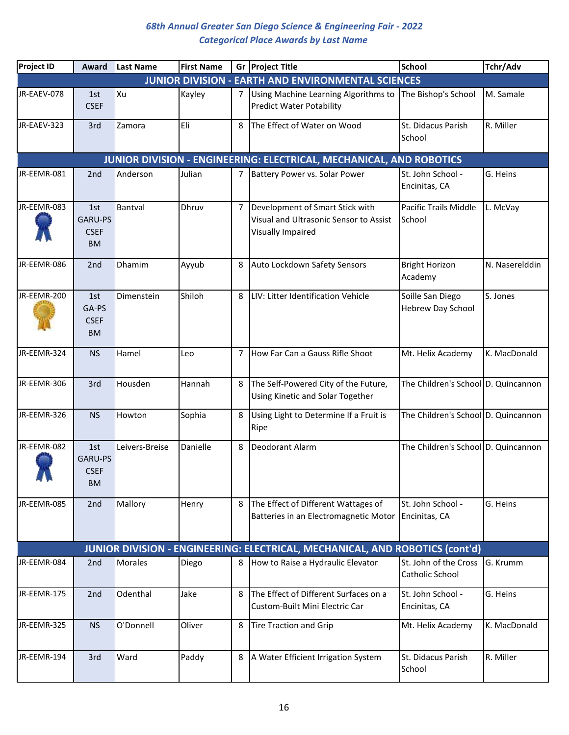| <b>Project ID</b> | Award                                      | <b>Last Name</b> | <b>First Name</b> |   | Gr Project Title                                                                               | <b>School</b>                                | Tchr/Adv       |
|-------------------|--------------------------------------------|------------------|-------------------|---|------------------------------------------------------------------------------------------------|----------------------------------------------|----------------|
|                   |                                            |                  |                   |   | <b>JUNIOR DIVISION - EARTH AND ENVIRONMENTAL SCIENCES</b>                                      |                                              |                |
| JR-EAEV-078       | 1st<br><b>CSEF</b>                         | Xu               | Kayley            | 7 | Using Machine Learning Algorithms to<br><b>Predict Water Potability</b>                        | The Bishop's School                          | M. Samale      |
| JR-EAEV-323       | 3rd                                        | Zamora           | Eli               | 8 | The Effect of Water on Wood                                                                    | St. Didacus Parish<br>School                 | R. Miller      |
|                   |                                            |                  |                   |   | JUNIOR DIVISION - ENGINEERING: ELECTRICAL, MECHANICAL, AND ROBOTICS                            |                                              |                |
| JR-EEMR-081       | 2nd                                        | Anderson         | Julian            | 7 | Battery Power vs. Solar Power                                                                  | St. John School -<br>Encinitas, CA           | G. Heins       |
| JR-EEMR-083       | 1st<br>GARU-PS<br><b>CSEF</b><br><b>BM</b> | Bantval          | Dhruv             | 7 | Development of Smart Stick with<br>Visual and Ultrasonic Sensor to Assist<br>Visually Impaired | Pacific Trails Middle<br>School              | L. McVay       |
| JR-EEMR-086       | 2nd                                        | Dhamim           | Ayyub             | 8 | Auto Lockdown Safety Sensors                                                                   | <b>Bright Horizon</b><br>Academy             | N. Naserelddin |
| JR-EEMR-200       | 1st<br>GA-PS<br><b>CSEF</b><br><b>BM</b>   | Dimenstein       | Shiloh            | 8 | LIV: Litter Identification Vehicle                                                             | Soille San Diego<br><b>Hebrew Day School</b> | S. Jones       |
| JR-EEMR-324       | <b>NS</b>                                  | Hamel            | Leo               | 7 | How Far Can a Gauss Rifle Shoot                                                                | Mt. Helix Academy                            | K. MacDonald   |
| JR-EEMR-306       | 3rd                                        | Housden          | Hannah            | 8 | The Self-Powered City of the Future,<br>Using Kinetic and Solar Together                       | The Children's School D. Quincannon          |                |
| JR-EEMR-326       | <b>NS</b>                                  | Howton           | Sophia            | 8 | Using Light to Determine If a Fruit is<br>Ripe                                                 | The Children's School D. Quincannon          |                |
| JR-EEMR-082       | 1st<br>GARU-PS<br><b>CSEF</b><br><b>BM</b> | Leivers-Breise   | Danielle          | 8 | Deodorant Alarm                                                                                | The Children's School D. Quincannon          |                |
| JR-EEMR-085       | 2nd                                        | Mallory          | Henry             | 8 | The Effect of Different Wattages of<br>Batteries in an Electromagnetic Motor                   | St. John School -<br>Encinitas, CA           | G. Heins       |
|                   |                                            |                  |                   |   | JUNIOR DIVISION - ENGINEERING: ELECTRICAL, MECHANICAL, AND ROBOTICS (cont'd)                   |                                              |                |
| JR-EEMR-084       | 2 <sub>nd</sub>                            | Morales          | Diego             | 8 | How to Raise a Hydraulic Elevator                                                              | St. John of the Cross<br>Catholic School     | G. Krumm       |
| JR-EEMR-175       | 2nd                                        | Odenthal         | Jake              | 8 | The Effect of Different Surfaces on a<br>Custom-Built Mini Electric Car                        | St. John School -<br>Encinitas, CA           | G. Heins       |
| JR-EEMR-325       | <b>NS</b>                                  | O'Donnell        | Oliver            | 8 | <b>Tire Traction and Grip</b>                                                                  | Mt. Helix Academy                            | K. MacDonald   |
| JR-EEMR-194       | 3rd                                        | Ward             | Paddy             | 8 | A Water Efficient Irrigation System                                                            | St. Didacus Parish<br>School                 | R. Miller      |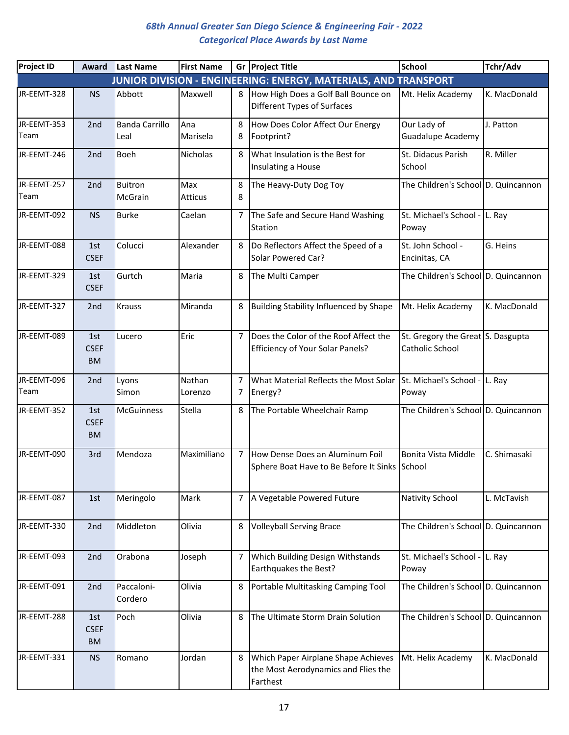| <b>Project ID</b>   | Award                           | Last Name                     | <b>First Name</b>     |                | Gr Project Title                                                                       | <b>School</b>                                        | Tchr/Adv     |
|---------------------|---------------------------------|-------------------------------|-----------------------|----------------|----------------------------------------------------------------------------------------|------------------------------------------------------|--------------|
|                     |                                 |                               |                       |                | JUNIOR DIVISION - ENGINEERING: ENERGY, MATERIALS, AND TRANSPORT                        |                                                      |              |
| JR-EEMT-328         | <b>NS</b>                       | Abbott                        | Maxwell               | 8              | How High Does a Golf Ball Bounce on<br><b>Different Types of Surfaces</b>              | Mt. Helix Academy                                    | K. MacDonald |
| JR-EEMT-353<br>Team | 2nd                             | <b>Banda Carrillo</b><br>Leal | Ana<br>Marisela       | 8<br>8         | How Does Color Affect Our Energy<br>Footprint?                                         | Our Lady of<br><b>Guadalupe Academy</b>              | J. Patton    |
| JR-EEMT-246         | 2nd                             | <b>Boeh</b>                   | Nicholas              | 8              | What Insulation is the Best for<br>Insulating a House                                  | St. Didacus Parish<br>School                         | R. Miller    |
| JR-EEMT-257<br>Team | 2nd                             | <b>Buitron</b><br>McGrain     | Max<br><b>Atticus</b> | 8<br>8         | The Heavy-Duty Dog Toy                                                                 | The Children's School D. Quincannon                  |              |
| JR-EEMT-092         | <b>NS</b>                       | <b>Burke</b>                  | Caelan                | 7              | The Safe and Secure Hand Washing<br>Station                                            | St. Michael's School - L. Ray<br>Poway               |              |
| JR-EEMT-088         | 1st<br><b>CSEF</b>              | Colucci                       | Alexander             | 8              | Do Reflectors Affect the Speed of a<br>Solar Powered Car?                              | St. John School -<br>Encinitas, CA                   | G. Heins     |
| JR-EEMT-329         | 1st<br><b>CSEF</b>              | Gurtch                        | Maria                 | 8              | The Multi Camper                                                                       | The Children's School D. Quincannon                  |              |
| JR-EEMT-327         | 2nd                             | <b>Krauss</b>                 | Miranda               | 8              | Building Stability Influenced by Shape                                                 | Mt. Helix Academy                                    | K. MacDonald |
| JR-EEMT-089         | 1st<br><b>CSEF</b><br><b>BM</b> | Lucero                        | Eric                  | 7              | Does the Color of the Roof Affect the<br><b>Efficiency of Your Solar Panels?</b>       | St. Gregory the Great S. Dasgupta<br>Catholic School |              |
| JR-EEMT-096<br>Team | 2 <sub>nd</sub>                 | Lyons<br>Simon                | Nathan<br>Lorenzo     | 7<br>7         | What Material Reflects the Most Solar<br>Energy?                                       | St. Michael's School - L. Ray<br>Poway               |              |
| JR-EEMT-352         | 1st<br><b>CSEF</b><br><b>BM</b> | <b>McGuinness</b>             | Stella                | 8              | The Portable Wheelchair Ramp                                                           | The Children's School D. Quincannon                  |              |
| JR-EEMT-090         | 3rd                             | Mendoza                       | Maximiliano           | $\overline{7}$ | How Dense Does an Aluminum Foil<br>Sphere Boat Have to Be Before It Sinks School       | Bonita Vista Middle                                  | C. Shimasaki |
| JR-EEMT-087         | 1st                             | Meringolo                     | Mark                  | 7              | A Vegetable Powered Future                                                             | Nativity School                                      | L. McTavish  |
| JR-EEMT-330         | 2nd                             | Middleton                     | Olivia                | 8              | <b>Volleyball Serving Brace</b>                                                        | The Children's School D. Quincannon                  |              |
| JR-EEMT-093         | 2nd                             | Orabona                       | Joseph                | 7              | Which Building Design Withstands<br>Earthquakes the Best?                              | St. Michael's School - L. Ray<br>Poway               |              |
| JR-EEMT-091         | 2nd                             | Paccaloni-<br>Cordero         | Olivia                | 8              | Portable Multitasking Camping Tool                                                     | The Children's School D. Quincannon                  |              |
| JR-EEMT-288         | 1st<br><b>CSEF</b><br><b>BM</b> | Poch                          | Olivia                | 8              | The Ultimate Storm Drain Solution                                                      | The Children's School D. Quincannon                  |              |
| JR-EEMT-331         | <b>NS</b>                       | Romano                        | Jordan                | 8              | Which Paper Airplane Shape Achieves<br>the Most Aerodynamics and Flies the<br>Farthest | Mt. Helix Academy                                    | K. MacDonald |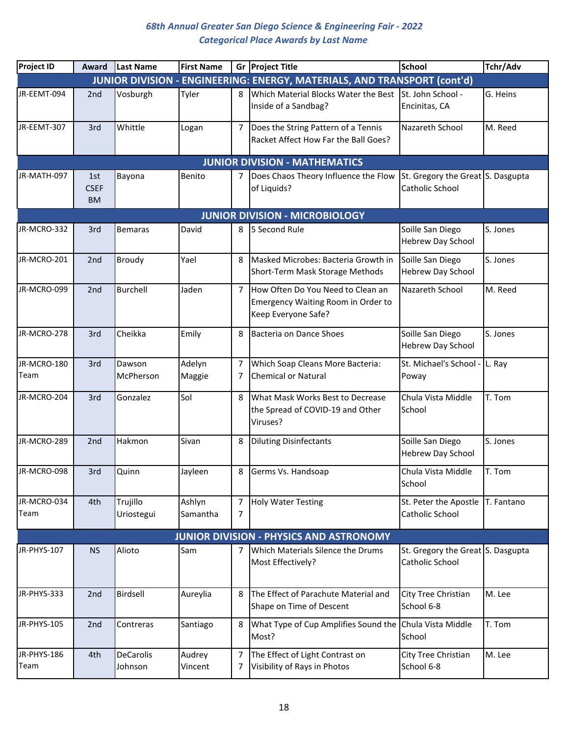| <b>Project ID</b>   | Award                           | Last Name                   | <b>First Name</b>  |                | Gr Project Title                                                                               | <b>School</b>                                        | Tchr/Adv |
|---------------------|---------------------------------|-----------------------------|--------------------|----------------|------------------------------------------------------------------------------------------------|------------------------------------------------------|----------|
|                     |                                 |                             |                    |                | JUNIOR DIVISION - ENGINEERING: ENERGY, MATERIALS, AND TRANSPORT (cont'd)                       |                                                      |          |
| JR-EEMT-094         | 2nd                             | Vosburgh                    | Tyler              | 8              | Which Material Blocks Water the Best<br>Inside of a Sandbag?                                   | St. John School -<br>Encinitas, CA                   | G. Heins |
| JR-EEMT-307         | 3rd                             | Whittle                     | Logan              | 7              | Does the String Pattern of a Tennis<br>Racket Affect How Far the Ball Goes?                    | Nazareth School                                      | M. Reed  |
|                     |                                 |                             |                    |                | <b>JUNIOR DIVISION - MATHEMATICS</b>                                                           |                                                      |          |
| JR-MATH-097         | 1st<br><b>CSEF</b><br><b>BM</b> | Bayona                      | Benito             | 7              | Does Chaos Theory Influence the Flow<br>of Liquids?                                            | St. Gregory the Great S. Dasgupta<br>Catholic School |          |
|                     |                                 |                             |                    |                | <b>JUNIOR DIVISION - MICROBIOLOGY</b>                                                          |                                                      |          |
| JR-MCRO-332         | 3rd                             | <b>Bemaras</b>              | David              | 8              | 5 Second Rule                                                                                  | Soille San Diego<br>Hebrew Day School                | S. Jones |
| JR-MCRO-201         | 2nd                             | Broudy                      | Yael               | 8              | Masked Microbes: Bacteria Growth in<br>Short-Term Mask Storage Methods                         | Soille San Diego<br><b>Hebrew Day School</b>         | S. Jones |
| JR-MCRO-099         | 2nd                             | <b>Burchell</b>             | Jaden              | $\overline{7}$ | How Often Do You Need to Clean an<br>Emergency Waiting Room in Order to<br>Keep Everyone Safe? | Nazareth School                                      | M. Reed  |
| JR-MCRO-278         | 3rd                             | Cheikka                     | Emily              | 8              | Bacteria on Dance Shoes                                                                        | Soille San Diego<br>Hebrew Day School                | S. Jones |
| JR-MCRO-180<br>Team | 3rd                             | Dawson<br>McPherson         | Adelyn<br>Maggie   | 7<br>7         | Which Soap Cleans More Bacteria:<br><b>Chemical or Natural</b>                                 | St. Michael's School -<br>Poway                      | L. Ray   |
| JR-MCRO-204         | 3rd                             | Gonzalez                    | Sol                | 8              | What Mask Works Best to Decrease<br>the Spread of COVID-19 and Other<br>Viruses?               | Chula Vista Middle<br>School                         | T. Tom   |
| JR-MCRO-289         | 2nd                             | Hakmon                      | Sivan              | 8              | <b>Diluting Disinfectants</b>                                                                  | Soille San Diego<br>Hebrew Day School                | S. Jones |
| JR-MCRO-098         | 3rd                             | Quinn                       | Jayleen            | 8              | Germs Vs. Handsoap                                                                             | Chula Vista Middle<br>School                         | T. Tom   |
| JR-MCRO-034<br>Team | 4th                             | Trujillo<br>Uriostegui      | Ashlyn<br>Samantha | 7<br>7         | <b>Holy Water Testing</b>                                                                      | St. Peter the Apostle T. Fantano<br>Catholic School  |          |
|                     |                                 |                             |                    |                | JUNIOR DIVISION - PHYSICS AND ASTRONOMY                                                        |                                                      |          |
| JR-PHYS-107         | <b>NS</b>                       | Alioto                      | Sam                | 7              | Which Materials Silence the Drums<br>Most Effectively?                                         | St. Gregory the Great S. Dasgupta<br>Catholic School |          |
| JR-PHYS-333         | 2nd                             | Birdsell                    | Aureylia           | 8              | The Effect of Parachute Material and<br>Shape on Time of Descent                               | City Tree Christian<br>School 6-8                    | M. Lee   |
| JR-PHYS-105         | 2nd                             | Contreras                   | Santiago           | 8              | What Type of Cup Amplifies Sound the<br>Most?                                                  | Chula Vista Middle<br>School                         | T. Tom   |
| JR-PHYS-186<br>Team | 4th                             | <b>DeCarolis</b><br>Johnson | Audrey<br>Vincent  | 7<br>7         | The Effect of Light Contrast on<br>Visibility of Rays in Photos                                | City Tree Christian<br>School 6-8                    | M. Lee   |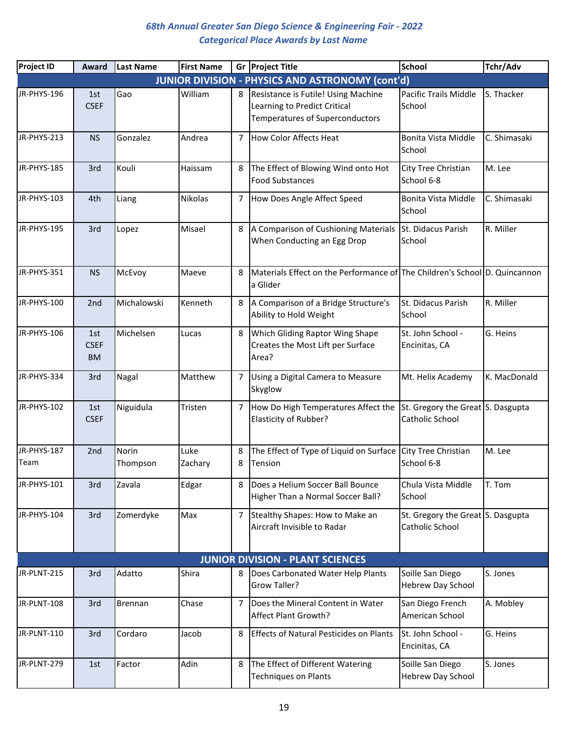| <b>Project ID</b>   | Award                           | <b>Last Name</b>  | <b>First Name</b> |                | Gr Project Title                                                                                              | <b>School</b>                                        | Tchr/Adv     |
|---------------------|---------------------------------|-------------------|-------------------|----------------|---------------------------------------------------------------------------------------------------------------|------------------------------------------------------|--------------|
|                     |                                 |                   |                   |                | <b>JUNIOR DIVISION - PHYSICS AND ASTRONOMY (cont'd)</b>                                                       |                                                      |              |
| JR-PHYS-196         | 1st<br><b>CSEF</b>              | Gao               | William           | 8              | Resistance is Futile! Using Machine<br>Learning to Predict Critical<br><b>Temperatures of Superconductors</b> | Pacific Trails Middle<br>School                      | S. Thacker   |
| JR-PHYS-213         | <b>NS</b>                       | Gonzalez          | Andrea            | 7              | How Color Affects Heat                                                                                        | Bonita Vista Middle<br>School                        | C. Shimasaki |
| JR-PHYS-185         | 3rd                             | Kouli             | Haissam           | 8              | The Effect of Blowing Wind onto Hot<br><b>Food Substances</b>                                                 | City Tree Christian<br>School 6-8                    | M. Lee       |
| JR-PHYS-103         | 4th                             | Liang             | Nikolas           | 7              | How Does Angle Affect Speed                                                                                   | Bonita Vista Middle<br>School                        | C. Shimasaki |
| JR-PHYS-195         | 3rd                             | Lopez             | Misael            | 8              | A Comparison of Cushioning Materials<br>When Conducting an Egg Drop                                           | St. Didacus Parish<br>School                         | R. Miller    |
| JR-PHYS-351         | <b>NS</b>                       | McEvoy            | Maeve             | 8              | Materials Effect on the Performance of The Children's School D. Quincannon<br>a Glider                        |                                                      |              |
| JR-PHYS-100         | 2nd                             | Michalowski       | Kenneth           | 8              | A Comparison of a Bridge Structure's<br>Ability to Hold Weight                                                | St. Didacus Parish<br>School                         | R. Miller    |
| JR-PHYS-106         | 1st<br><b>CSEF</b><br><b>BM</b> | Michelsen         | Lucas             | 8              | <b>Which Gliding Raptor Wing Shape</b><br>Creates the Most Lift per Surface<br>Area?                          | St. John School -<br>Encinitas, CA                   | G. Heins     |
| JR-PHYS-334         | 3rd                             | Nagal             | Matthew           | 7              | Using a Digital Camera to Measure<br>Skyglow                                                                  | Mt. Helix Academy                                    | K. MacDonald |
| JR-PHYS-102         | 1st<br><b>CSEF</b>              | Niguidula         | Tristen           | 7              | How Do High Temperatures Affect the<br>Elasticity of Rubber?                                                  | St. Gregory the Great S. Dasgupta<br>Catholic School |              |
| JR-PHYS-187<br>Team | 2nd                             | Norin<br>Thompson | Luke<br>Zachary   | 8<br>8         | The Effect of Type of Liquid on Surface<br>Tension                                                            | City Tree Christian<br>School 6-8                    | M. Lee       |
| JR-PHYS-101         | 3rd                             | Zavala            | Edgar             | 8              | Does a Helium Soccer Ball Bounce<br>Higher Than a Normal Soccer Ball?                                         | Chula Vista Middle<br>School                         | T. Tom       |
| JR-PHYS-104         | 3rd                             | Zomerdyke         | Max               | $\overline{7}$ | Stealthy Shapes: How to Make an<br>Aircraft Invisible to Radar                                                | St. Gregory the Great S. Dasgupta<br>Catholic School |              |
|                     |                                 |                   |                   |                | <b>JUNIOR DIVISION - PLANT SCIENCES</b>                                                                       |                                                      |              |
| JR-PLNT-215         | 3rd                             | Adatto            | Shira             | 8              | Does Carbonated Water Help Plants<br>Grow Taller?                                                             | Soille San Diego<br>Hebrew Day School                | S. Jones     |
| JR-PLNT-108         | 3rd                             | Brennan           | Chase             | 7              | Does the Mineral Content in Water<br>Affect Plant Growth?                                                     | San Diego French<br>American School                  | A. Mobley    |
| JR-PLNT-110         | 3rd                             | Cordaro           | Jacob             | 8              | <b>Effects of Natural Pesticides on Plants</b>                                                                | St. John School -<br>Encinitas, CA                   | G. Heins     |
| JR-PLNT-279         | 1st                             | Factor            | Adin              | 8              | The Effect of Different Watering<br><b>Techniques on Plants</b>                                               | Soille San Diego<br>Hebrew Day School                | S. Jones     |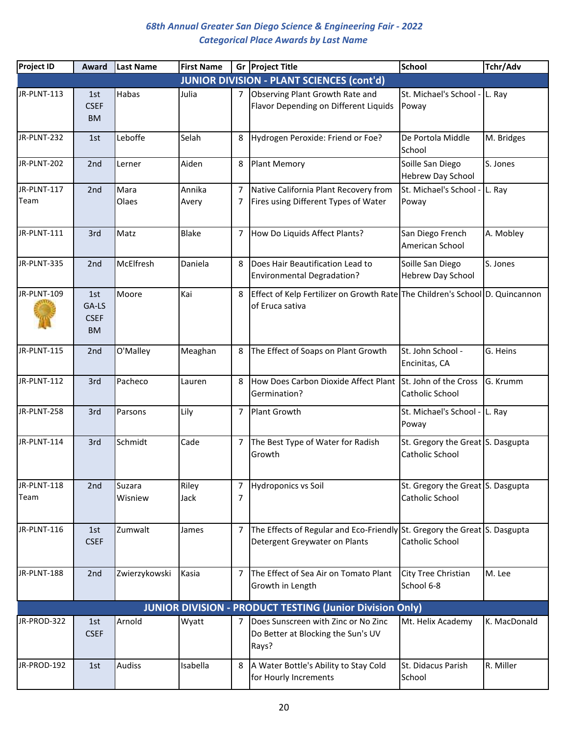| <b>Project ID</b>   | Award                                    | <b>Last Name</b>  | <b>First Name</b> |                | Gr Project Title                                                                                           | <b>School</b>                                        | Tchr/Adv     |
|---------------------|------------------------------------------|-------------------|-------------------|----------------|------------------------------------------------------------------------------------------------------------|------------------------------------------------------|--------------|
|                     |                                          |                   |                   |                | <b>JUNIOR DIVISION - PLANT SCIENCES (cont'd)</b>                                                           |                                                      |              |
| JR-PLNT-113         | 1st<br><b>CSEF</b><br><b>BM</b>          | Habas             | Julia             | 7              | Observing Plant Growth Rate and<br>Flavor Depending on Different Liquids                                   | St. Michael's School - L. Ray<br>Poway               |              |
| JR-PLNT-232         | 1st                                      | Leboffe           | Selah             | 8              | Hydrogen Peroxide: Friend or Foe?                                                                          | De Portola Middle<br>School                          | M. Bridges   |
| JR-PLNT-202         | 2nd                                      | Lerner            | Aiden             | 8              | <b>Plant Memory</b>                                                                                        | Soille San Diego<br><b>Hebrew Day School</b>         | S. Jones     |
| JR-PLNT-117<br>Team | 2 <sub>nd</sub>                          | Mara<br>Olaes     | Annika<br>Avery   | 7<br>7         | Native California Plant Recovery from<br>Fires using Different Types of Water                              | St. Michael's School -<br>Poway                      | L. Ray       |
| JR-PLNT-111         | 3rd                                      | Matz              | <b>Blake</b>      | 7              | How Do Liquids Affect Plants?                                                                              | San Diego French<br>American School                  | A. Mobley    |
| JR-PLNT-335         | 2nd                                      | McElfresh         | Daniela           | 8              | Does Hair Beautification Lead to<br><b>Environmental Degradation?</b>                                      | Soille San Diego<br><b>Hebrew Day School</b>         | S. Jones     |
| JR-PLNT-109         | 1st<br>GA-LS<br><b>CSEF</b><br><b>BM</b> | Moore             | Kai               | 8              | Effect of Kelp Fertilizer on Growth Rate The Children's School D. Quincannon<br>of Eruca sativa            |                                                      |              |
| JR-PLNT-115         | 2nd                                      | O'Malley          | Meaghan           | 8              | The Effect of Soaps on Plant Growth                                                                        | St. John School -<br>Encinitas, CA                   | G. Heins     |
| JR-PLNT-112         | 3rd                                      | Pacheco           | Lauren            | 8              | How Does Carbon Dioxide Affect Plant<br>Germination?                                                       | St. John of the Cross<br>Catholic School             | G. Krumm     |
| JR-PLNT-258         | 3rd                                      | Parsons           | Lily              | $\overline{7}$ | Plant Growth                                                                                               | St. Michael's School -<br>Poway                      | L. Ray       |
| JR-PLNT-114         | 3rd                                      | Schmidt           | Cade              | 7              | The Best Type of Water for Radish<br>Growth                                                                | St. Gregory the Great S. Dasgupta<br>Catholic School |              |
| JR-PLNT-118<br>Team | 2nd                                      | Suzara<br>Wisniew | Riley<br>Jack     | 7<br>7         | <b>Hydroponics vs Soil</b>                                                                                 | St. Gregory the Great S. Dasgupta<br>Catholic School |              |
| JR-PLNT-116         | 1st<br><b>CSEF</b>                       | Zumwalt           | James             | 7              | The Effects of Regular and Eco-Friendly St. Gregory the Great S. Dasgupta<br>Detergent Greywater on Plants | Catholic School                                      |              |
| JR-PLNT-188         | 2nd                                      | Zwierzykowski     | Kasia             | $\overline{7}$ | The Effect of Sea Air on Tomato Plant<br>Growth in Length                                                  | City Tree Christian<br>School 6-8                    | M. Lee       |
|                     |                                          |                   |                   |                | <b>JUNIOR DIVISION - PRODUCT TESTING (Junior Division Only)</b>                                            |                                                      |              |
| JR-PROD-322         | 1st<br><b>CSEF</b>                       | Arnold            | Wyatt             | 7              | Does Sunscreen with Zinc or No Zinc<br>Do Better at Blocking the Sun's UV<br>Rays?                         | Mt. Helix Academy                                    | K. MacDonald |
| JR-PROD-192         | 1st                                      | <b>Audiss</b>     | Isabella          | 8              | A Water Bottle's Ability to Stay Cold<br>for Hourly Increments                                             | St. Didacus Parish<br>School                         | R. Miller    |